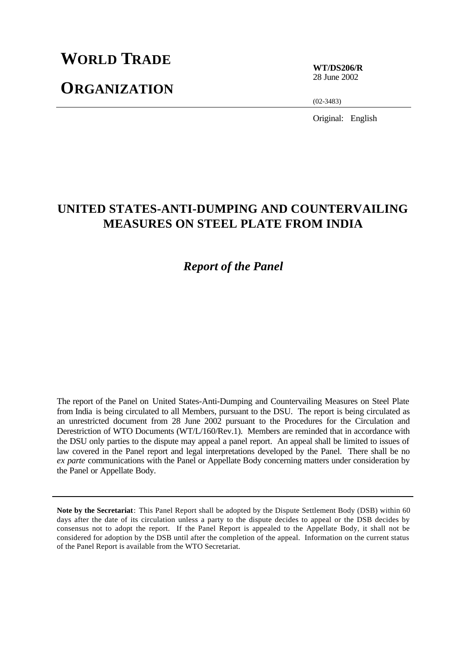# **WORLD TRADE**

# **ORGANIZATION**

**WT/DS206/R** 28 June 2002

(02-3483)

Original: English

# **UNITED STATES-ANTI-DUMPING AND COUNTERVAILING MEASURES ON STEEL PLATE FROM INDIA**

# *Report of the Panel*

The report of the Panel on United States-Anti-Dumping and Countervailing Measures on Steel Plate from India is being circulated to all Members, pursuant to the DSU. The report is being circulated as an unrestricted document from 28 June 2002 pursuant to the Procedures for the Circulation and Derestriction of WTO Documents (WT/L/160/Rev.1). Members are reminded that in accordance with the DSU only parties to the dispute may appeal a panel report. An appeal shall be limited to issues of law covered in the Panel report and legal interpretations developed by the Panel. There shall be no *ex parte* communications with the Panel or Appellate Body concerning matters under consideration by the Panel or Appellate Body.

**Note by the Secretariat**: This Panel Report shall be adopted by the Dispute Settlement Body (DSB) within 60 days after the date of its circulation unless a party to the dispute decides to appeal or the DSB decides by consensus not to adopt the report. If the Panel Report is appealed to the Appellate Body, it shall not be considered for adoption by the DSB until after the completion of the appeal. Information on the current status of the Panel Report is available from the WTO Secretariat.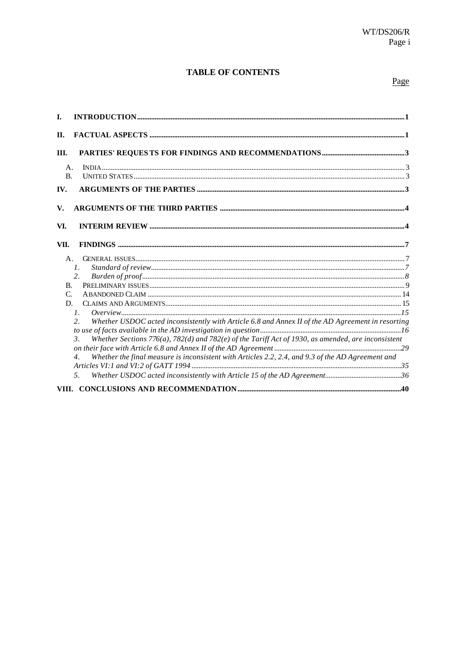# **TABLE OF CONTENTS**

#### Page

| L.                                                                                                                                                                                                                                                                                                                                                                                                                                                            |  |
|---------------------------------------------------------------------------------------------------------------------------------------------------------------------------------------------------------------------------------------------------------------------------------------------------------------------------------------------------------------------------------------------------------------------------------------------------------------|--|
| Π.                                                                                                                                                                                                                                                                                                                                                                                                                                                            |  |
| Ш.                                                                                                                                                                                                                                                                                                                                                                                                                                                            |  |
| A <sub>1</sub><br>$\mathbf{B}$ .                                                                                                                                                                                                                                                                                                                                                                                                                              |  |
| IV.                                                                                                                                                                                                                                                                                                                                                                                                                                                           |  |
| V.                                                                                                                                                                                                                                                                                                                                                                                                                                                            |  |
| VI.                                                                                                                                                                                                                                                                                                                                                                                                                                                           |  |
| VII.                                                                                                                                                                                                                                                                                                                                                                                                                                                          |  |
| A <sub>1</sub><br>$\mathcal{I}$ .<br>2.<br>$\mathbf{B}$ .<br>C.<br>D.<br>$\mathcal{I}$ .<br>Whether USDOC acted inconsistently with Article 6.8 and Annex II of the AD Agreement in resorting<br>2.5<br>Whether Sections 776(a), 782(d) and 782(e) of the Tariff Act of 1930, as amended, are inconsistent<br>$\mathfrak{Z}$ .<br>Whether the final measure is inconsistent with Articles 2.2, 2.4, and 9.3 of the AD Agreement and<br>$\overline{4}$ .<br>5. |  |
|                                                                                                                                                                                                                                                                                                                                                                                                                                                               |  |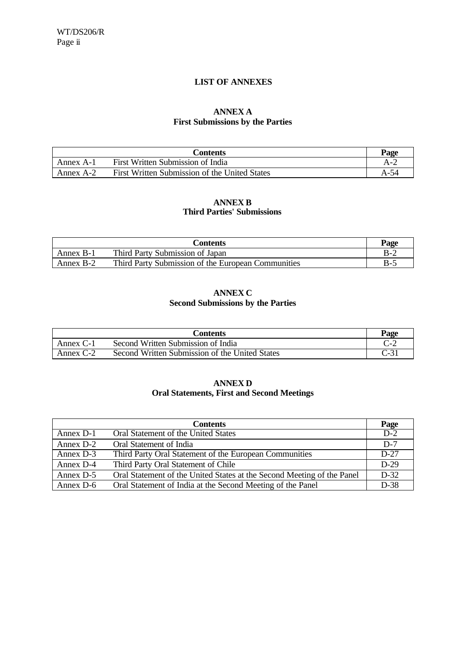### **LIST OF ANNEXES**

# **ANNEX A**

# **First Submissions by the Parties**

|           | <b>Contents</b>                               | Page     |
|-----------|-----------------------------------------------|----------|
| Annex A-1 | First Written Submission of India             | $A-2$    |
| Annex A-2 | First Written Submission of the United States | $A - 54$ |

#### **ANNEX B Third Parties' Submissions**

|           | Contents                                           | Page  |
|-----------|----------------------------------------------------|-------|
| Annex B-1 | Third Party Submission of Japan                    | B-2   |
| Annex B-2 | Third Party Submission of the European Communities | $B-5$ |

#### **ANNEX C Second Submissions by the Parties**

|             | Contents                                       | Page  |
|-------------|------------------------------------------------|-------|
| Annex $C-1$ | Second Written Submission of India             | C-2   |
| Annex $C-2$ | Second Written Submission of the United States | $C-3$ |

### **ANNEX D Oral Statements, First and Second Meetings**

|           | <b>Contents</b>                                                        | Page   |
|-----------|------------------------------------------------------------------------|--------|
| Annex D-1 | Oral Statement of the United States                                    | $D-2$  |
| Annex D-2 | Oral Statement of India                                                | $D-7$  |
| Annex D-3 | Third Party Oral Statement of the European Communities                 | $D-27$ |
| Annex D-4 | Third Party Oral Statement of Chile                                    | $D-29$ |
| Annex D-5 | Oral Statement of the United States at the Second Meeting of the Panel | $D-32$ |
| Annex D-6 | Oral Statement of India at the Second Meeting of the Panel             | $D-38$ |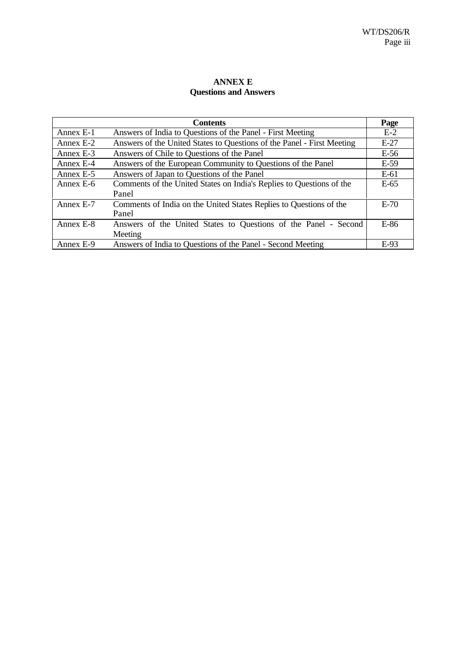# **ANNEX E Questions and Answers**

|           | <b>Contents</b>                                                        | Page   |
|-----------|------------------------------------------------------------------------|--------|
| Annex E-1 | Answers of India to Questions of the Panel - First Meeting             | $E-2$  |
| Annex E-2 | Answers of the United States to Questions of the Panel - First Meeting | $E-27$ |
| Annex E-3 | Answers of Chile to Questions of the Panel                             | $E-56$ |
| Annex E-4 | Answers of the European Community to Questions of the Panel            | $E-59$ |
| Annex E-5 | Answers of Japan to Questions of the Panel                             | $E-61$ |
| Annex E-6 | Comments of the United States on India's Replies to Questions of the   | $E-65$ |
|           | Panel                                                                  |        |
| Annex E-7 | Comments of India on the United States Replies to Questions of the     | $E-70$ |
|           | Panel                                                                  |        |
| Annex E-8 | Answers of the United States to Questions of the Panel - Second        | $E-86$ |
|           | Meeting                                                                |        |
| Annex E-9 | Answers of India to Questions of the Panel - Second Meeting            | $E-93$ |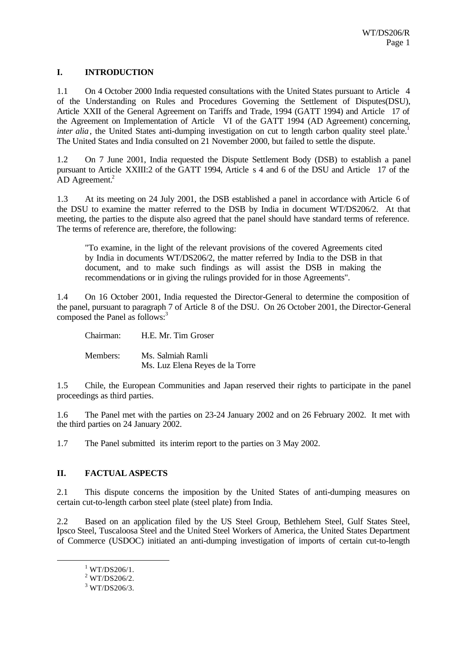# **I. INTRODUCTION**

1.1 On 4 October 2000 India requested consultations with the United States pursuant to Article 4 of the Understanding on Rules and Procedures Governing the Settlement of Disputes(DSU), Article XXII of the General Agreement on Tariffs and Trade, 1994 (GATT 1994) and Article 17 of the Agreement on Implementation of Article VI of the GATT 1994 (AD Agreement) concerning, *inter alia*, the United States anti-dumping investigation on cut to length carbon quality steel plate.<sup>1</sup> The United States and India consulted on 21 November 2000, but failed to settle the dispute.

1.2 On 7 June 2001, India requested the Dispute Settlement Body (DSB) to establish a panel pursuant to Article XXIII:2 of the GATT 1994, Article s 4 and 6 of the DSU and Article 17 of the AD Agreement.<sup>2</sup>

1.3 At its meeting on 24 July 2001, the DSB established a panel in accordance with Article 6 of the DSU to examine the matter referred to the DSB by India in document WT/DS206/2. At that meeting, the parties to the dispute also agreed that the panel should have standard terms of reference. The terms of reference are, therefore, the following:

"To examine, in the light of the relevant provisions of the covered Agreements cited by India in documents WT/DS206/2, the matter referred by India to the DSB in that document, and to make such findings as will assist the DSB in making the recommendations or in giving the rulings provided for in those Agreements".

1.4 On 16 October 2001, India requested the Director-General to determine the composition of the panel, pursuant to paragraph 7 of Article 8 of the DSU. On 26 October 2001, the Director-General composed the Panel as follows:<sup>3</sup>

Chairman: H.E. Mr. Tim Groser

Members: Ms. Salmiah Ramli Ms. Luz Elena Reyes de la Torre

1.5 Chile, the European Communities and Japan reserved their rights to participate in the panel proceedings as third parties.

1.6 The Panel met with the parties on 23-24 January 2002 and on 26 February 2002. It met with the third parties on 24 January 2002.

1.7 The Panel submitted its interim report to the parties on 3 May 2002.

### **II. FACTUAL ASPECTS**

2.1 This dispute concerns the imposition by the United States of anti-dumping measures on certain cut-to-length carbon steel plate (steel plate) from India.

2.2 Based on an application filed by the US Steel Group, Bethlehem Steel, Gulf States Steel, Ipsco Steel, Tuscaloosa Steel and the United Steel Workers of America, the United States Department of Commerce (USDOC) initiated an anti-dumping investigation of imports of certain cut-to-length

 $1$  WT/DS206/1.

 $2$  WT/DS206/2.

<sup>3</sup> WT/DS206/3.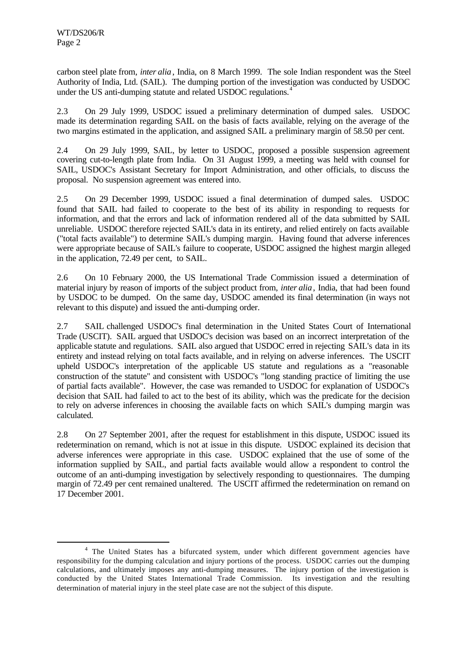l

carbon steel plate from, *inter alia*, India, on 8 March 1999. The sole Indian respondent was the Steel Authority of India, Ltd. (SAIL). The dumping portion of the investigation was conducted by USDOC under the US anti-dumping statute and related USDOC regulations.<sup>4</sup>

2.3 On 29 July 1999, USDOC issued a preliminary determination of dumped sales. USDOC made its determination regarding SAIL on the basis of facts available, relying on the average of the two margins estimated in the application, and assigned SAIL a preliminary margin of 58.50 per cent.

2.4 On 29 July 1999, SAIL, by letter to USDOC, proposed a possible suspension agreement covering cut-to-length plate from India. On 31 August 1999, a meeting was held with counsel for SAIL, USDOC's Assistant Secretary for Import Administration, and other officials, to discuss the proposal. No suspension agreement was entered into.

2.5 On 29 December 1999, USDOC issued a final determination of dumped sales. USDOC found that SAIL had failed to cooperate to the best of its ability in responding to requests for information, and that the errors and lack of information rendered all of the data submitted by SAIL unreliable. USDOC therefore rejected SAIL's data in its entirety, and relied entirely on facts available ("total facts available") to determine SAIL's dumping margin. Having found that adverse inferences were appropriate because of SAIL's failure to cooperate, USDOC assigned the highest margin alleged in the application, 72.49 per cent, to SAIL.

2.6 On 10 February 2000, the US International Trade Commission issued a determination of material injury by reason of imports of the subject product from, *inter alia*, India, that had been found by USDOC to be dumped. On the same day, USDOC amended its final determination (in ways not relevant to this dispute) and issued the anti-dumping order.

2.7 SAIL challenged USDOC's final determination in the United States Court of International Trade (USCIT). SAIL argued that USDOC's decision was based on an incorrect interpretation of the applicable statute and regulations. SAIL also argued that USDOC erred in rejecting SAIL's data in its entirety and instead relying on total facts available, and in relying on adverse inferences. The USCIT upheld USDOC's interpretation of the applicable US statute and regulations as a "reasonable construction of the statute" and consistent with USDOC's "long standing practice of limiting the use of partial facts available". However, the case was remanded to USDOC for explanation of USDOC's decision that SAIL had failed to act to the best of its ability, which was the predicate for the decision to rely on adverse inferences in choosing the available facts on which SAIL's dumping margin was calculated.

2.8 On 27 September 2001, after the request for establishment in this dispute, USDOC issued its redetermination on remand, which is not at issue in this dispute. USDOC explained its decision that adverse inferences were appropriate in this case. USDOC explained that the use of some of the information supplied by SAIL, and partial facts available would allow a respondent to control the outcome of an anti-dumping investigation by selectively responding to questionnaires. The dumping margin of 72.49 per cent remained unaltered. The USCIT affirmed the redetermination on remand on 17 December 2001.

<sup>&</sup>lt;sup>4</sup> The United States has a bifurcated system, under which different government agencies have responsibility for the dumping calculation and injury portions of the process. USDOC carries out the dumping calculations, and ultimately imposes any anti-dumping measures. The injury portion of the investigation is conducted by the United States International Trade Commission. Its investigation and the resulting determination of material injury in the steel plate case are not the subject of this dispute.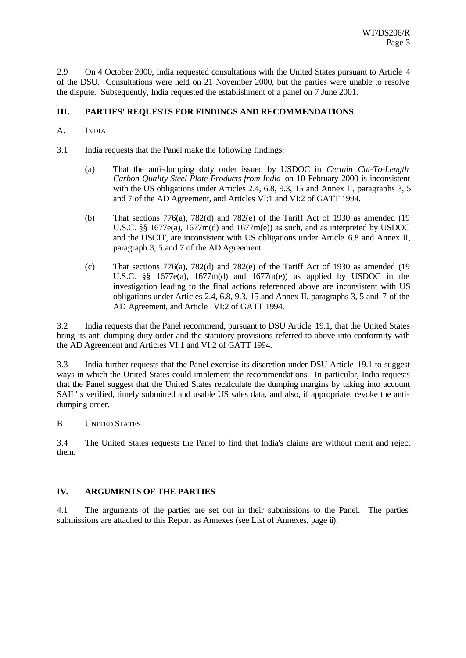2.9 On 4 October 2000, India requested consultations with the United States pursuant to Article 4 of the DSU. Consultations were held on 21 November 2000, but the parties were unable to resolve the dispute. Subsequently, India requested the establishment of a panel on 7 June 2001.

#### **III. PARTIES' REQUESTS FOR FINDINGS AND RECOMMENDATIONS**

- A. INDIA
- 3.1 India requests that the Panel make the following findings:
	- (a) That the anti-dumping duty order issued by USDOC in *Certain Cut-To-Length Carbon-Quality Steel Plate Products from India* on 10 February 2000 is inconsistent with the US obligations under Articles 2.4, 6.8, 9.3, 15 and Annex II, paragraphs 3, 5 and 7 of the AD Agreement, and Articles VI:1 and VI:2 of GATT 1994.
	- (b) That sections 776(a), 782(d) and 782(e) of the Tariff Act of 1930 as amended (19 U.S.C. §§ 1677e(a), 1677m(d) and 1677m(e)) as such, and as interpreted by USDOC and the USCIT, are inconsistent with US obligations under Article 6.8 and Annex II, paragraph 3, 5 and 7 of the AD Agreement.
	- (c) That sections 776(a), 782(d) and 782(e) of the Tariff Act of 1930 as amended (19 U.S.C.  $\S$  1677e(a), 1677m(d) and 1677m(e)) as applied by USDOC in the investigation leading to the final actions referenced above are inconsistent with US obligations under Articles 2.4, 6.8, 9.3, 15 and Annex II, paragraphs 3, 5 and 7 of the AD Agreement, and Article VI:2 of GATT 1994.

3.2 India requests that the Panel recommend, pursuant to DSU Article 19.1, that the United States bring its anti-dumping duty order and the statutory provisions referred to above into conformity with the AD Agreement and Articles VI:1 and VI:2 of GATT 1994.

3.3 India further requests that the Panel exercise its discretion under DSU Article 19.1 to suggest ways in which the United States could implement the recommendations. In particular, India requests that the Panel suggest that the United States recalculate the dumping margins by taking into account SAIL' s verified, timely submitted and usable US sales data, and also, if appropriate, revoke the antidumping order.

#### B. UNITED STATES

3.4 The United States requests the Panel to find that India's claims are without merit and reject them.

#### **IV. ARGUMENTS OF THE PARTIES**

4.1 The arguments of the parties are set out in their submissions to the Panel. The parties' submissions are attached to this Report as Annexes (see List of Annexes, page ii).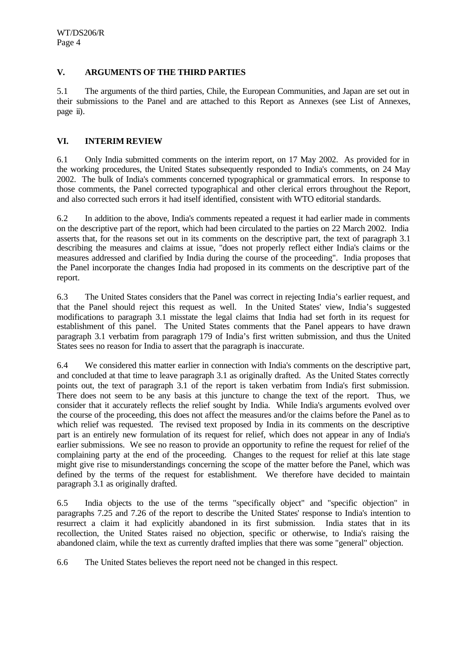### **V. ARGUMENTS OF THE THIRD PARTIES**

5.1 The arguments of the third parties, Chile, the European Communities, and Japan are set out in their submissions to the Panel and are attached to this Report as Annexes (see List of Annexes, page ii).

#### **VI. INTERIM REVIEW**

6.1 Only India submitted comments on the interim report, on 17 May 2002. As provided for in the working procedures, the United States subsequently responded to India's comments, on 24 May 2002. The bulk of India's comments concerned typographical or grammatical errors. In response to those comments, the Panel corrected typographical and other clerical errors throughout the Report, and also corrected such errors it had itself identified, consistent with WTO editorial standards.

6.2 In addition to the above, India's comments repeated a request it had earlier made in comments on the descriptive part of the report, which had been circulated to the parties on 22 March 2002. India asserts that, for the reasons set out in its comments on the descriptive part, the text of paragraph 3.1 describing the measures and claims at issue, "does not properly reflect either India's claims or the measures addressed and clarified by India during the course of the proceeding". India proposes that the Panel incorporate the changes India had proposed in its comments on the descriptive part of the report.

6.3 The United States considers that the Panel was correct in rejecting India's earlier request, and that the Panel should reject this request as well. In the United States' view, India's suggested modifications to paragraph 3.1 misstate the legal claims that India had set forth in its request for establishment of this panel. The United States comments that the Panel appears to have drawn paragraph 3.1 verbatim from paragraph 179 of India's first written submission, and thus the United States sees no reason for India to assert that the paragraph is inaccurate.

6.4 We considered this matter earlier in connection with India's comments on the descriptive part, and concluded at that time to leave paragraph 3.1 as originally drafted. As the United States correctly points out, the text of paragraph 3.1 of the report is taken verbatim from India's first submission. There does not seem to be any basis at this juncture to change the text of the report. Thus, we consider that it accurately reflects the relief sought by India. While India's arguments evolved over the course of the proceeding, this does not affect the measures and/or the claims before the Panel as to which relief was requested. The revised text proposed by India in its comments on the descriptive part is an entirely new formulation of its request for relief, which does not appear in any of India's earlier submissions. We see no reason to provide an opportunity to refine the request for relief of the complaining party at the end of the proceeding. Changes to the request for relief at this late stage might give rise to misunderstandings concerning the scope of the matter before the Panel, which was defined by the terms of the request for establishment. We therefore have decided to maintain paragraph 3.1 as originally drafted.

6.5 India objects to the use of the terms "specifically object" and "specific objection" in paragraphs 7.25 and 7.26 of the report to describe the United States' response to India's intention to resurrect a claim it had explicitly abandoned in its first submission. India states that in its recollection, the United States raised no objection, specific or otherwise, to India's raising the abandoned claim, while the text as currently drafted implies that there was some "general" objection.

6.6 The United States believes the report need not be changed in this respect.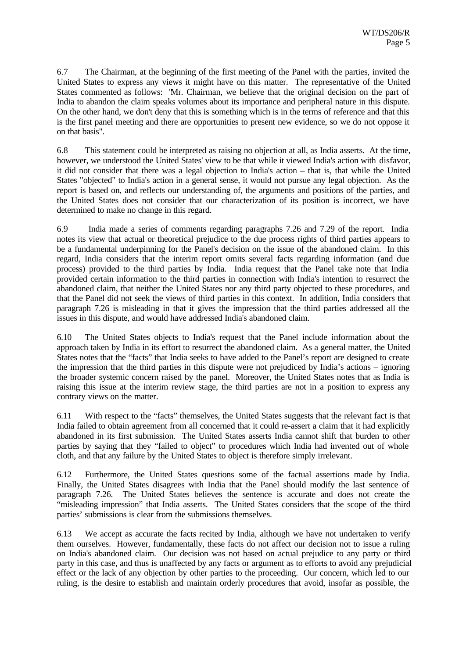6.7 The Chairman, at the beginning of the first meeting of the Panel with the parties, invited the United States to express any views it might have on this matter. The representative of the United States commented as follows: "Mr. Chairman, we believe that the original decision on the part of India to abandon the claim speaks volumes about its importance and peripheral nature in this dispute. On the other hand, we don't deny that this is something which is in the terms of reference and that this is the first panel meeting and there are opportunities to present new evidence, so we do not oppose it on that basis".

6.8 This statement could be interpreted as raising no objection at all, as India asserts. At the time, however, we understood the United States' view to be that while it viewed India's action with disfavor, it did not consider that there was a legal objection to India's action – that is, that while the United States "objected" to India's action in a general sense, it would not pursue any legal objection. As the report is based on, and reflects our understanding of, the arguments and positions of the parties, and the United States does not consider that our characterization of its position is incorrect, we have determined to make no change in this regard.

6.9 India made a series of comments regarding paragraphs 7.26 and 7.29 of the report. India notes its view that actual or theoretical prejudice to the due process rights of third parties appears to be a fundamental underpinning for the Panel's decision on the issue of the abandoned claim. In this regard, India considers that the interim report omits several facts regarding information (and due process) provided to the third parties by India. India request that the Panel take note that India provided certain information to the third parties in connection with India's intention to resurrect the abandoned claim, that neither the United States nor any third party objected to these procedures, and that the Panel did not seek the views of third parties in this context. In addition, India considers that paragraph 7.26 is misleading in that it gives the impression that the third parties addressed all the issues in this dispute, and would have addressed India's abandoned claim.

6.10 The United States objects to India's request that the Panel include information about the approach taken by India in its effort to resurrect the abandoned claim. As a general matter, the United States notes that the "facts" that India seeks to have added to the Panel's report are designed to create the impression that the third parties in this dispute were not prejudiced by India's actions – ignoring the broader systemic concern raised by the panel. Moreover, the United States notes that as India is raising this issue at the interim review stage, the third parties are not in a position to express any contrary views on the matter.

6.11 With respect to the "facts" themselves, the United States suggests that the relevant fact is that India failed to obtain agreement from all concerned that it could re-assert a claim that it had explicitly abandoned in its first submission. The United States asserts India cannot shift that burden to other parties by saying that they "failed to object" to procedures which India had invented out of whole cloth, and that any failure by the United States to object is therefore simply irrelevant.

6.12 Furthermore, the United States questions some of the factual assertions made by India. Finally, the United States disagrees with India that the Panel should modify the last sentence of paragraph 7.26. The United States believes the sentence is accurate and does not create the "misleading impression" that India asserts. The United States considers that the scope of the third parties' submissions is clear from the submissions themselves.

6.13 We accept as accurate the facts recited by India, although we have not undertaken to verify them ourselves. However, fundamentally, these facts do not affect our decision not to issue a ruling on India's abandoned claim. Our decision was not based on actual prejudice to any party or third party in this case, and thus is unaffected by any facts or argument as to efforts to avoid any prejudicial effect or the lack of any objection by other parties to the proceeding. Our concern, which led to our ruling, is the desire to establish and maintain orderly procedures that avoid, insofar as possible, the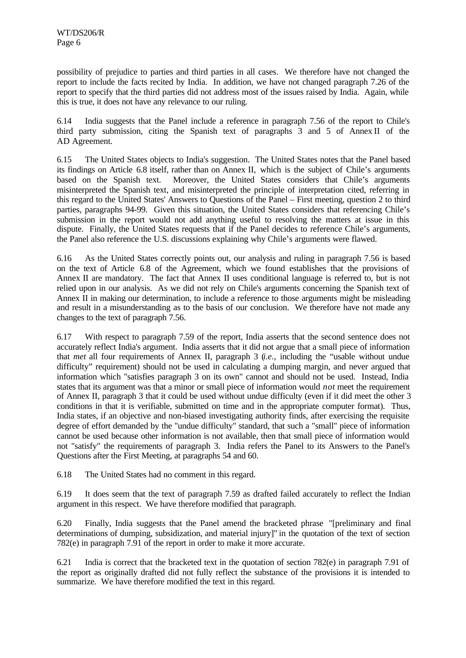possibility of prejudice to parties and third parties in all cases. We therefore have not changed the report to include the facts recited by India. In addition, we have not changed paragraph 7.26 of the report to specify that the third parties did not address most of the issues raised by India. Again, while this is true, it does not have any relevance to our ruling.

6.14 India suggests that the Panel include a reference in paragraph 7.56 of the report to Chile's third party submission, citing the Spanish text of paragraphs 3 and 5 of Annex II of the AD Agreement.

6.15 The United States objects to India's suggestion. The United States notes that the Panel based its findings on Article 6.8 itself, rather than on Annex II, which is the subject of Chile's arguments based on the Spanish text. Moreover, the United States considers that Chile's arguments misinterpreted the Spanish text, and misinterpreted the principle of interpretation cited, referring in this regard to the United States' Answers to Questions of the Panel – First meeting, question 2 to third parties, paragraphs 94-99. Given this situation, the United States considers that referencing Chile's submission in the report would not add anything useful to resolving the matters at issue in this dispute. Finally, the United States requests that if the Panel decides to reference Chile's arguments, the Panel also reference the U.S. discussions explaining why Chile's arguments were flawed.

6.16 As the United States correctly points out, our analysis and ruling in paragraph 7.56 is based on the text of Article 6.8 of the Agreement, which we found establishes that the provisions of Annex II are mandatory. The fact that Annex II uses conditional language is referred to, but is not relied upon in our analysis. As we did not rely on Chile's arguments concerning the Spanish text of Annex  $\overline{\Pi}$  in making our determination, to include a reference to those arguments might be misleading and result in a misunderstanding as to the basis of our conclusion. We therefore have not made any changes to the text of paragraph 7.56.

6.17 With respect to paragraph 7.59 of the report, India asserts that the second sentence does not accurately reflect India's argument. India asserts that it did not argue that a small piece of information that *met* all four requirements of Annex II, paragraph 3 (*i.e.,* including the "usable without undue difficulty" requirement) should not be used in calculating a dumping margin, and never argued that information which "satisfies paragraph 3 on its own" cannot and should not be used. Instead, India states that its argument was that a minor or small piece of information would *not* meet the requirement of Annex II, paragraph 3 that it could be used without undue difficulty (even if it did meet the other 3 conditions in that it is verifiable, submitted on time and in the appropriate computer format). Thus, India states, if an objective and non-biased investigating authority finds, after exercising the requisite degree of effort demanded by the "undue difficulty" standard, that such a "small" piece of information cannot be used because other information is not available, then that small piece of information would not "satisfy" the requirements of paragraph 3. India refers the Panel to its Answers to the Panel's Questions after the First Meeting, at paragraphs 54 and 60.

6.18 The United States had no comment in this regard.

6.19 It does seem that the text of paragraph 7.59 as drafted failed accurately to reflect the Indian argument in this respect. We have therefore modified that paragraph.

6.20 Finally, India suggests that the Panel amend the bracketed phrase "[preliminary and final determinations of dumping, subsidization, and material injury]" in the quotation of the text of section 782(e) in paragraph 7.91 of the report in order to make it more accurate.

6.21 India is correct that the bracketed text in the quotation of section 782(e) in paragraph 7.91 of the report as originally drafted did not fully reflect the substance of the provisions it is intended to summarize. We have therefore modified the text in this regard.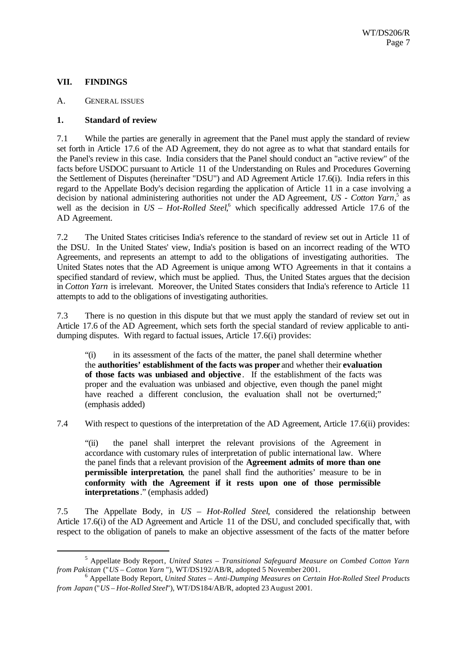### **VII. FINDINGS**

l

A. GENERAL ISSUES

#### **1. Standard of review**

7.1 While the parties are generally in agreement that the Panel must apply the standard of review set forth in Article 17.6 of the AD Agreement, they do not agree as to what that standard entails for the Panel's review in this case. India considers that the Panel should conduct an "active review" of the facts before USDOC pursuant to Article 11 of the Understanding on Rules and Procedures Governing the Settlement of Disputes (hereinafter "DSU") and AD Agreement Article 17.6(i). India refers in this regard to the Appellate Body's decision regarding the application of Article 11 in a case involving a decision by national administering authorities not under the AD Agreement, *US - Cotton Yarn*, as well as the decision in *US – Hot-Rolled Steel*,<sup>6</sup> which specifically addressed Article 17.6 of the AD Agreement.

7.2 The United States criticises India's reference to the standard of review set out in Article 11 of the DSU. In the United States' view, India's position is based on an incorrect reading of the WTO Agreements, and represents an attempt to add to the obligations of investigating authorities. The United States notes that the AD Agreement is unique among WTO Agreements in that it contains a specified standard of review, which must be applied. Thus, the United States argues that the decision in *Cotton Yarn* is irrelevant. Moreover, the United States considers that India's reference to Article 11 attempts to add to the obligations of investigating authorities.

7.3 There is no question in this dispute but that we must apply the standard of review set out in Article 17.6 of the AD Agreement, which sets forth the special standard of review applicable to antidumping disputes. With regard to factual issues, Article 17.6(i) provides:

"(i) in its assessment of the facts of the matter, the panel shall determine whether the **authorities' establishment of the facts was proper** and whether their **evaluation of those facts was unbiased and objective** . If the establishment of the facts was proper and the evaluation was unbiased and objective, even though the panel might have reached a different conclusion, the evaluation shall not be overturned;" (emphasis added)

7.4 With respect to questions of the interpretation of the AD Agreement, Article 17.6(ii) provides:

"(ii) the panel shall interpret the relevant provisions of the Agreement in accordance with customary rules of interpretation of public international law. Where the panel finds that a relevant provision of the **Agreement admits of more than one permissible interpretation**, the panel shall find the authorities' measure to be in **conformity with the Agreement if it rests upon one of those permissible interpretations**." (emphasis added)

7.5 The Appellate Body, in *US – Hot-Rolled Steel*, considered the relationship between Article 17.6(i) of the AD Agreement and Article 11 of the DSU, and concluded specifically that, with respect to the obligation of panels to make an objective assessment of the facts of the matter before

<sup>5</sup> Appellate Body Report*, United States – Transitional Safeguard Measure on Combed Cotton Yarn from Pakistan* ("*US – Cotton Yarn* "), WT/DS192/AB/R, adopted 5 November 2001.

<sup>6</sup> Appellate Body Report, *United States – Anti-Dumping Measures on Certain Hot-Rolled Steel Products from Japan* ("*US – Hot-Rolled Steel*"), WT/DS184/AB/R, adopted 23 August 2001.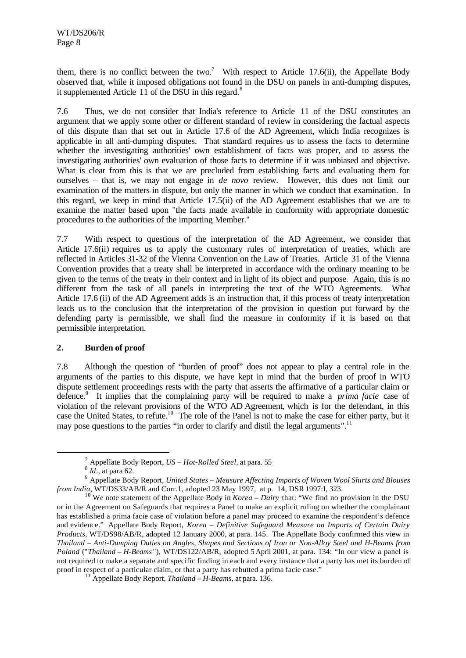them, there is no conflict between the two.<sup>7</sup> With respect to Article 17.6(ii), the Appellate Body observed that, while it imposed obligations not found in the DSU on panels in anti-dumping disputes, it supplemented Article  $11$  of the DSU in this regard.<sup>8</sup>

7.6 Thus, we do not consider that India's reference to Article 11 of the DSU constitutes an argument that we apply some other or different standard of review in considering the factual aspects of this dispute than that set out in Article 17.6 of the AD Agreement, which India recognizes is applicable in all anti-dumping disputes. That standard requires us to assess the facts to determine whether the investigating authorities' own establishment of facts was proper, and to assess the investigating authorities' own evaluation of those facts to determine if it was unbiased and objective. What is clear from this is that we are precluded from establishing facts and evaluating them for ourselves – that is, we may not engage in *de novo* review. However, this does not limit our examination of the matters in dispute, but only the manner in which we conduct that examination. In this regard, we keep in mind that Article 17.5(ii) of the AD Agreement establishes that we are to examine the matter based upon "the facts made available in conformity with appropriate domestic procedures to the authorities of the importing Member."

7.7 With respect to questions of the interpretation of the AD Agreement, we consider that Article 17.6(ii) requires us to apply the customary rules of interpretation of treaties, which are reflected in Articles 31-32 of the Vienna Convention on the Law of Treaties. Article 31 of the Vienna Convention provides that a treaty shall be interpreted in accordance with the ordinary meaning to be given to the terms of the treaty in their context and in light of its object and purpose. Again, this is no different from the task of all panels in interpreting the text of the WTO Agreements. What Article 17.6 (ii) of the AD Agreement adds is an instruction that, if this process of treaty interpretation leads us to the conclusion that the interpretation of the provision in question put forward by the defending party is permissible, we shall find the measure in conformity if it is based on that permissible interpretation.

### **2. Burden of proof**

7.8 Although the question of "burden of proof" does not appear to play a central role in the arguments of the parties to this dispute, we have kept in mind that the burden of proof in WTO dispute settlement proceedings rests with the party that asserts the affirmative of a particular claim or defence.<sup>9</sup> It implies that the complaining party will be required to make a *prima facie* case of violation of the relevant provisions of the WTO AD Agreement, which is for the defendant, in this case the United States, to refute.<sup>10</sup> The role of the Panel is not to make the case for either party, but it may pose questions to the parties "in order to clarify and distil the legal arguments".<sup>11</sup>

<sup>7</sup> Appellate Body Report, *US – Hot-Rolled Steel*, at para. 55

<sup>8</sup> *Id*., at para 62.

<sup>9</sup> Appellate Body Report, *United States – Measure Affecting Imports of Woven Wool Shirts and Blouses from India*, WT/DS33/AB/R and Corr.1, adopted 23 May 1997, at p. 14, DSR 1997:I, 323.

<sup>&</sup>lt;sup>10</sup> We note statement of the Appellate Body in *Korea – Dairy* that: "We find no provision in the DSU or in the Agreement on Safeguards that requires a Panel to make an explicit ruling on whether the complainant has established a prima facie case of violation before a panel may proceed to examine the respondent's defence and evidence." Appellate Body Report, *Korea – Definitive Safeguard Measure on Imports of Certain Dairy Products,* WT/DS98/AB/R, adopted 12 January 2000, at para. 145. The Appellate Body confirmed this view in *Thailand – Anti-Dumping Duties on Angles, Shapes and Sections of Iron or Non-Alloy Steel and H-Beams from Poland* ("*Thailand – H-Beams* "), WT/DS122/AB/R, adopted 5 April 2001, at para. 134: "In our view a panel is not required to make a separate and specific finding in each and every instance that a party has met its burden of proof in respect of a particular claim, or that a party has rebutted a prima facie case."

<sup>11</sup> Appellate Body Report, *Thailand – H-Beams*, at para. 136.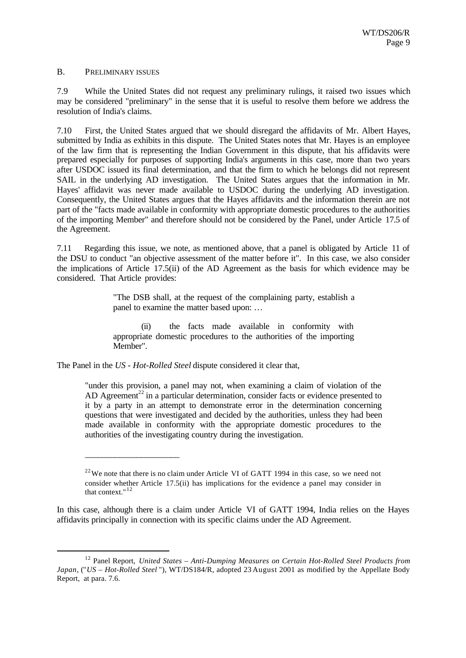#### B. PRELIMINARY ISSUES

7.9 While the United States did not request any preliminary rulings, it raised two issues which may be considered "preliminary" in the sense that it is useful to resolve them before we address the resolution of India's claims.

7.10 First, the United States argued that we should disregard the affidavits of Mr. Albert Hayes, submitted by India as exhibits in this dispute. The United States notes that Mr. Hayes is an employee of the law firm that is representing the Indian Government in this dispute, that his affidavits were prepared especially for purposes of supporting India's arguments in this case, more than two years after USDOC issued its final determination, and that the firm to which he belongs did not represent SAIL in the underlying AD investigation. The United States argues that the information in Mr. Hayes' affidavit was never made available to USDOC during the underlying AD investigation. Consequently, the United States argues that the Hayes affidavits and the information therein are not part of the "facts made available in conformity with appropriate domestic procedures to the authorities of the importing Member" and therefore should not be considered by the Panel, under Article 17.5 of the Agreement.

7.11 Regarding this issue, we note, as mentioned above, that a panel is obligated by Article 11 of the DSU to conduct "an objective assessment of the matter before it". In this case, we also consider the implications of Article 17.5(ii) of the AD Agreement as the basis for which evidence may be considered. That Article provides:

> "The DSB shall, at the request of the complaining party, establish a panel to examine the matter based upon: …

> (ii) the facts made available in conformity with appropriate domestic procedures to the authorities of the importing Member".

The Panel in the *US - Hot-Rolled Steel* dispute considered it clear that,

\_\_\_\_\_\_\_\_\_\_\_\_\_\_\_\_\_\_\_\_\_\_

l

"under this provision, a panel may not, when examining a claim of violation of the AD Agreement<sup>22</sup> in a particular determination, consider facts or evidence presented to it by a party in an attempt to demonstrate error in the determination concerning questions that were investigated and decided by the authorities, unless they had been made available in conformity with the appropriate domestic procedures to the authorities of the investigating country during the investigation.

 $^{22}$ We note that there is no claim under Article VI of GATT 1994 in this case, so we need not consider whether Article 17.5(ii) has implications for the evidence a panel may consider in that context."<sup>12</sup>

In this case, although there is a claim under Article VI of GATT 1994, India relies on the Hayes affidavits principally in connection with its specific claims under the AD Agreement.

<sup>12</sup> Panel Report, *United States – Anti-Dumping Measures on Certain Hot-Rolled Steel Products from Japan*, ("*US – Hot-Rolled Steel* "), WT/DS184/R, adopted 23 August 2001 as modified by the Appellate Body Report, at para. 7.6.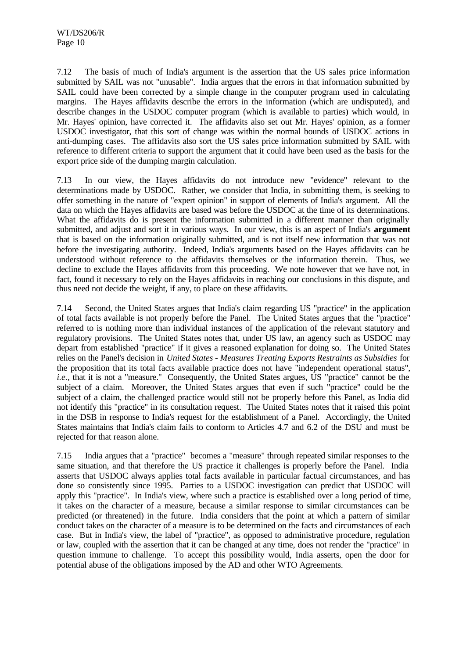7.12 The basis of much of India's argument is the assertion that the US sales price information submitted by SAIL was not "unusable". India argues that the errors in that information submitted by SAIL could have been corrected by a simple change in the computer program used in calculating margins. The Hayes affidavits describe the errors in the information (which are undisputed), and describe changes in the USDOC computer program (which is available to parties) which would, in Mr. Hayes' opinion, have corrected it. The affidavits also set out Mr. Hayes' opinion, as a former USDOC investigator, that this sort of change was within the normal bounds of USDOC actions in anti-dumping cases. The affidavits also sort the US sales price information submitted by SAIL with reference to different criteria to support the argument that it could have been used as the basis for the export price side of the dumping margin calculation.

7.13 In our view, the Hayes affidavits do not introduce new "evidence" relevant to the determinations made by USDOC. Rather, we consider that India, in submitting them, is seeking to offer something in the nature of "expert opinion" in support of elements of India's argument. All the data on which the Hayes affidavits are based was before the USDOC at the time of its determinations. What the affidavits do is present the information submitted in a different manner than originally submitted, and adjust and sort it in various ways. In our view, this is an aspect of India's **argument** that is based on the information originally submitted, and is not itself new information that was not before the investigating authority. Indeed, India's arguments based on the Hayes affidavits can be understood without reference to the affidavits themselves or the information therein. Thus, we decline to exclude the Hayes affidavits from this proceeding. We note however that we have not, in fact, found it necessary to rely on the Hayes affidavits in reaching our conclusions in this dispute, and thus need not decide the weight, if any, to place on these affidavits.

7.14 Second, the United States argues that India's claim regarding US "practice" in the application of total facts available is not properly before the Panel. The United States argues that the "practice" referred to is nothing more than individual instances of the application of the relevant statutory and regulatory provisions. The United States notes that, under US law, an agency such as USDOC may depart from established "practice" if it gives a reasoned explanation for doing so. The United States relies on the Panel's decision in *United States - Measures Treating Exports Restraints as Subsidies* for the proposition that its total facts available practice does not have "independent operational status", *i.e.*, that it is not a "measure." Consequently, the United States argues, US "practice" cannot be the subject of a claim. Moreover, the United States argues that even if such "practice" could be the subject of a claim, the challenged practice would still not be properly before this Panel, as India did not identify this "practice" in its consultation request. The United States notes that it raised this point in the DSB in response to India's request for the establishment of a Panel. Accordingly, the United States maintains that India's claim fails to conform to Articles 4.7 and 6.2 of the DSU and must be rejected for that reason alone.

7.15 India argues that a "practice" becomes a "measure" through repeated similar responses to the same situation, and that therefore the US practice it challenges is properly before the Panel. India asserts that USDOC always applies total facts available in particular factual circumstances, and has done so consistently since 1995. Parties to a USDOC investigation can predict that USDOC will apply this "practice". In India's view, where such a practice is established over a long period of time, it takes on the character of a measure, because a similar response to similar circumstances can be predicted (or threatened) in the future. India considers that the point at which a pattern of similar conduct takes on the character of a measure is to be determined on the facts and circumstances of each case. But in India's view, the label of "practice", as opposed to administrative procedure, regulation or law, coupled with the assertion that it can be changed at any time, does not render the "practice" in question immune to challenge. To accept this possibility would, India asserts, open the door for potential abuse of the obligations imposed by the AD and other WTO Agreements.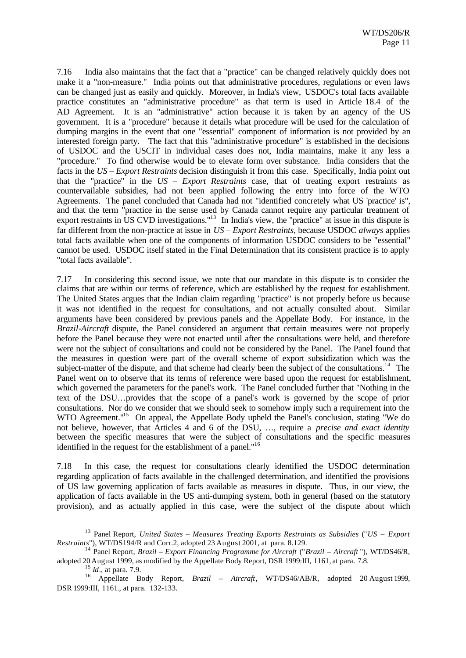7.16 India also maintains that the fact that a "practice" can be changed relatively quickly does not make it a "non-measure." India points out that administrative procedures, regulations or even laws can be changed just as easily and quickly. Moreover, in India's view, USDOC's total facts available practice constitutes an "administrative procedure" as that term is used in Article 18.4 of the AD Agreement. It is an "administrative" action because it is taken by an agency of the US government. It is a "procedure" because it details what procedure will be used for the calculation of dumping margins in the event that one "essential" component of information is not provided by an interested foreign party. The fact that this "administrative procedure" is established in the decisions of USDOC and the USCIT in individual cases does not, India maintains, make it any less a "procedure." To find otherwise would be to elevate form over substance. India considers that the facts in the *US – Export Restraints* decision distinguish it from this case. Specifically, India point out that the "practice" in the *US – Export Restraints* case, that of treating export restraints as countervailable subsidies, had not been applied following the entry into force of the WTO Agreements. The panel concluded that Canada had not "identified concretely what US 'practice' is", and that the term "practice in the sense used by Canada cannot require any particular treatment of export restraints in US CVD investigations."<sup>13</sup> In India's view, the "practice" at issue in this dispute is far different from the non-practice at issue in *US – Export Restraints*, because USDOC *always* applies total facts available when one of the components of information USDOC considers to be "essential" cannot be used. USDOC itself stated in the Final Determination that its consistent practice is to apply "total facts available".

7.17 In considering this second issue, we note that our mandate in this dispute is to consider the claims that are within our terms of reference, which are established by the request for establishment. The United States argues that the Indian claim regarding "practice" is not properly before us because it was not identified in the request for consultations, and not actually consulted about. Similar arguments have been considered by previous panels and the Appellate Body. For instance, in the *Brazil-Aircraft* dispute, the Panel considered an argument that certain measures were not properly before the Panel because they were not enacted until after the consultations were held, and therefore were not the subject of consultations and could not be considered by the Panel. The Panel found that the measures in question were part of the overall scheme of export subsidization which was the subject-matter of the dispute, and that scheme had clearly been the subject of the consultations.<sup>14</sup> The Panel went on to observe that its terms of reference were based upon the request for establishment, which governed the parameters for the panel's work. The Panel concluded further that "Nothing in the text of the DSU…provides that the scope of a panel's work is governed by the scope of prior consultations. Nor do we consider that we should seek to somehow imply such a requirement into the WTO Agreement.<sup>"15</sup> On appeal, the Appellate Body upheld the Panel's conclusion, stating "We do not believe, however, that Articles 4 and 6 of the DSU, …, require a *precise and exact identity* between the specific measures that were the subject of consultations and the specific measures identified in the request for the establishment of a panel."<sup>16</sup>

7.18 In this case, the request for consultations clearly identified the USDOC determination regarding application of facts available in the challenged determination, and identified the provisions of US law governing application of facts available as measures in dispute. Thus, in our view, the application of facts available in the US anti-dumping system, both in general (based on the statutory provision), and as actually applied in this case, were the subject of the dispute about which

<sup>13</sup> Panel Report, *United States – Measures Treating Exports Restraints as Subsidies* ("*US – Export Restraints*"), WT/DS194/R and Corr.2, adopted 23 August 2001, at para. 8.129.

<sup>14</sup> Panel Report, *Brazil – Export Financing Programme for Aircraft* ("*Brazil – Aircraft* "), WT/DS46/R, adopted 20 August 1999, as modified by the Appellate Body Report, DSR 1999:III, 1161, at para. 7.8.

<sup>15</sup> *Id*., at para. 7.9.

<sup>16</sup> Appellate Body Report, *Brazil – Aircraft*, WT/DS46/AB/R, adopted 20 August 1999, DSR 1999:III, 1161., at para. 132-133.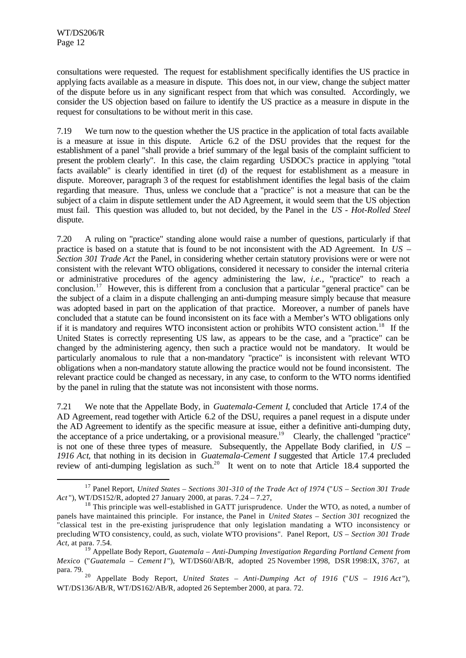l

consultations were requested. The request for establishment specifically identifies the US practice in applying facts available as a measure in dispute. This does not, in our view, change the subject matter of the dispute before us in any significant respect from that which was consulted. Accordingly, we consider the US objection based on failure to identify the US practice as a measure in dispute in the request for consultations to be without merit in this case.

7.19 We turn now to the question whether the US practice in the application of total facts available is a measure at issue in this dispute. Article 6.2 of the DSU provides that the request for the establishment of a panel "shall provide a brief summary of the legal basis of the complaint sufficient to present the problem clearly". In this case, the claim regarding USDOC's practice in applying "total facts available" is clearly identified in tiret (d) of the request for establishment as a measure in dispute. Moreover, paragraph 3 of the request for establishment identifies the legal basis of the claim regarding that measure. Thus, unless we conclude that a "practice" is not a measure that can be the subject of a claim in dispute settlement under the AD Agreement, it would seem that the US objection must fail. This question was alluded to, but not decided, by the Panel in the *US - Hot-Rolled Steel* dispute.

7.20 A ruling on "practice" standing alone would raise a number of questions, particularly if that practice is based on a statute that is found to be not inconsistent with the AD Agreement. In *US – Section 301 Trade Act* the Panel, in considering whether certain statutory provisions were or were not consistent with the relevant WTO obligations, considered it necessary to consider the internal criteria or administrative procedures of the agency administering the law, *i.e.*, "practice" to reach a conclusion.<sup>17</sup> However, this is different from a conclusion that a particular "general practice" can be the subject of a claim in a dispute challenging an anti-dumping measure simply because that measure was adopted based in part on the application of that practice. Moreover, a number of panels have concluded that a statute can be found inconsistent on its face with a Member's WTO obligations only if it is mandatory and requires WTO inconsistent action or prohibits WTO consistent action.<sup>18</sup> If the United States is correctly representing US law, as appears to be the case, and a "practice" can be changed by the administering agency, then such a practice would not be mandatory. It would be particularly anomalous to rule that a non-mandatory "practice" is inconsistent with relevant WTO obligations when a non-mandatory statute allowing the practice would not be found inconsistent. The relevant practice could be changed as necessary, in any case, to conform to the WTO norms identified by the panel in ruling that the statute was not inconsistent with those norms.

7.21 We note that the Appellate Body, in *Guatemala-Cement I*, concluded that Article 17.4 of the AD Agreement, read together with Article 6.2 of the DSU, requires a panel request in a dispute under the AD Agreement to identify as the specific measure at issue, either a definitive anti-dumping duty, the acceptance of a price undertaking, or a provisional measure.<sup>19</sup> Clearly, the challenged "practice" is not one of these three types of measure. Subsequently, the Appellate Body clarified, in *US – 1916 Act*, that nothing in its decision in *Guatemala-Cement I* suggested that Article 17.4 precluded review of anti-dumping legislation as such.<sup>20</sup> It went on to note that Article 18.4 supported the

<sup>17</sup> Panel Report, *United States – Sections 301-310 of the Trade Act of 1974* ("*US – Section 301 Trade Act* "), WT/DS152/R, adopted 27 January 2000, at paras. 7.24 – 7.27,

<sup>&</sup>lt;sup>18</sup> This principle was well-established in GATT jurisprudence. Under the WTO, as noted, a number of panels have maintained this principle. For instance, the Panel in *United States – Section 301* recognized the "classical test in the pre-existing jurisprudence that only legislation mandating a WTO inconsistency or precluding WTO consistency, could, as such, violate WTO provisions". Panel Report, *US – Section 301 Trade Act*, at para. 7.54.

<sup>19</sup> Appellate Body Report, *Guatemala – Anti-Dumping Investigation Regarding Portland Cement from Mexico* ("*Guatemala – Cement I* "), WT/DS60/AB/R, adopted 25 November 1998, DSR 1998:IX, 3767, at  $\frac{m_{\text{max}}}{20}$ .

<sup>20</sup> Appellate Body Report, *United States – Anti-Dumping Act of 1916* ("*US – 1916 Act* "), WT/DS136/AB/R, WT/DS162/AB/R, adopted 26 September 2000, at para. 72.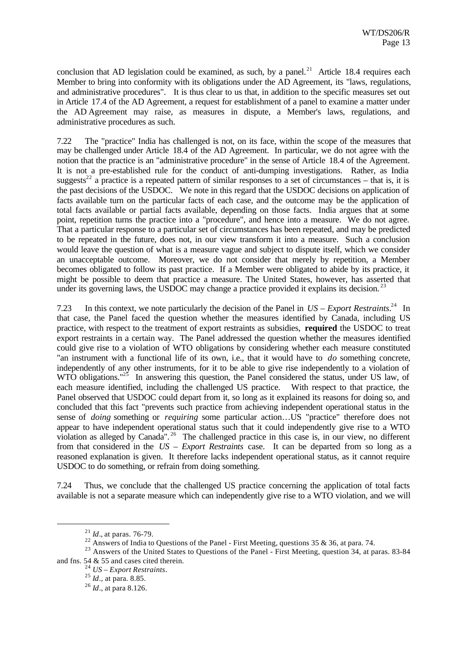conclusion that AD legislation could be examined, as such, by a panel.<sup>21</sup> Article 18.4 requires each Member to bring into conformity with its obligations under the AD Agreement, its "laws, regulations, and administrative procedures". It is thus clear to us that, in addition to the specific measures set out in Article 17.4 of the AD Agreement, a request for establishment of a panel to examine a matter under the AD Agreement may raise, as measures in dispute, a Member's laws, regulations, and administrative procedures as such.

7.22 The "practice" India has challenged is not, on its face, within the scope of the measures that may be challenged under Article 18.4 of the AD Agreement. In particular, we do not agree with the notion that the practice is an "administrative procedure" in the sense of Article 18.4 of the Agreement. It is not a pre-established rule for the conduct of anti-dumping investigations. Rather, as India suggests<sup>22</sup> a practice is a repeated pattern of similar responses to a set of circumstances – that is, it is the past decisions of the USDOC. We note in this regard that the USDOC decisions on application of facts available turn on the particular facts of each case, and the outcome may be the application of total facts available or partial facts available, depending on those facts. India argues that at some point, repetition turns the practice into a "procedure", and hence into a measure. We do not agree. That a particular response to a particular set of circumstances has been repeated, and may be predicted to be repeated in the future, does not, in our view transform it into a measure. Such a conclusion would leave the question of what is a measure vague and subject to dispute itself, which we consider an unacceptable outcome. Moreover, we do not consider that merely by repetition, a Member becomes obligated to follow its past practice. If a Member were obligated to abide by its practice, it might be possible to deem that practice a measure. The United States, however, has asserted that under its governing laws, the USDOC may change a practice provided it explains its decision.<sup>23</sup>

7.23 In this context, we note particularly the decision of the Panel in *US – Export Restraints*. <sup>24</sup> In that case, the Panel faced the question whether the measures identified by Canada, including US practice, with respect to the treatment of export restraints as subsidies, **required** the USDOC to treat export restraints in a certain way. The Panel addressed the question whether the measures identified could give rise to a violation of WTO obligations by considering whether each measure constituted "an instrument with a functional life of its own, i.e., that it would have to *do* something concrete, independently of any other instruments, for it to be able to give rise independently to a violation of  $WTO$  obligations."<sup>25</sup> In answering this question, the Panel considered the status, under US law, of each measure identified, including the challenged US practice. With respect to that practice, the Panel observed that USDOC could depart from it, so long as it explained its reasons for doing so, and concluded that this fact "prevents such practice from achieving independent operational status in the sense of *doing* something or *requiring* some particular action…US "practice" therefore does not appear to have independent operational status such that it could independently give rise to a WTO violation as alleged by Canada".<sup>26</sup> The challenged practice in this case is, in our view, no different from that considered in the *US – Export Restraints* case. It can be departed from so long as a reasoned explanation is given. It therefore lacks independent operational status, as it cannot require USDOC to do something, or refrain from doing something.

7.24 Thus, we conclude that the challenged US practice concerning the application of total facts available is not a separate measure which can independently give rise to a WTO violation, and we will

<sup>21</sup> *Id*., at paras. 76-79.

<sup>&</sup>lt;sup>22</sup> Answers of India to Questions of the Panel - First Meeting, questions 35 & 36, at para. 74.

<sup>23</sup> Answers of the United States to Questions of the Panel - First Meeting, question 34, at paras. 83-84 and fns. 54 & 55 and cases cited therein.

<sup>24</sup> *US – Export Restraints*.

<sup>25</sup> *Id*., at para. 8.85.

<sup>26</sup> *Id*., at para 8.126.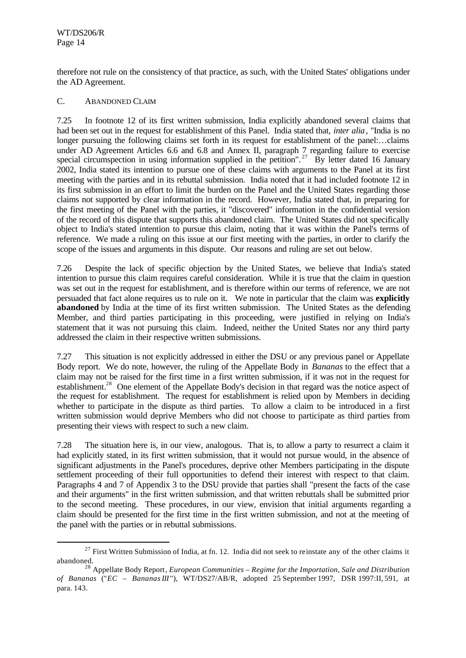l

therefore not rule on the consistency of that practice, as such, with the United States' obligations under the AD Agreement.

#### C. ABANDONED CLAIM

7.25 In footnote 12 of its first written submission, India explicitly abandoned several claims that had been set out in the request for establishment of this Panel. India stated that, *inter alia*, "India is no longer pursuing the following claims set forth in its request for establishment of the panel:…claims under AD Agreement Articles 6.6 and 6.8 and Annex II, paragraph 7 regarding failure to exercise special circumspection in using information supplied in the petition".<sup>27</sup> By letter dated 16 January 2002, India stated its intention to pursue one of these claims with arguments to the Panel at its first meeting with the parties and in its rebuttal submission. India noted that it had included footnote 12 in its first submission in an effort to limit the burden on the Panel and the United States regarding those claims not supported by clear information in the record. However, India stated that, in preparing for the first meeting of the Panel with the parties, it "discovered" information in the confidential version of the record of this dispute that supports this abandoned claim. The United States did not specifically object to India's stated intention to pursue this claim, noting that it was within the Panel's terms of reference. We made a ruling on this issue at our first meeting with the parties, in order to clarify the scope of the issues and arguments in this dispute. Our reasons and ruling are set out below.

7.26 Despite the lack of specific objection by the United States, we believe that India's stated intention to pursue this claim requires careful consideration. While it is true that the claim in question was set out in the request for establishment, and is therefore within our terms of reference, we are not persuaded that fact alone requires us to rule on it. We note in particular that the claim was **explicitly abandoned** by India at the time of its first written submission. The United States as the defending Member, and third parties participating in this proceeding, were justified in relying on India's statement that it was not pursuing this claim. Indeed, neither the United States nor any third party addressed the claim in their respective written submissions.

7.27 This situation is not explicitly addressed in either the DSU or any previous panel or Appellate Body report. We do note, however, the ruling of the Appellate Body in *Bananas* to the effect that a claim may not be raised for the first time in a first written submission, if it was not in the request for establishment.<sup>28</sup> One element of the Appellate Body's decision in that regard was the notice aspect of the request for establishment. The request for establishment is relied upon by Members in deciding whether to participate in the dispute as third parties. To allow a claim to be introduced in a first written submission would deprive Members who did not choose to participate as third parties from presenting their views with respect to such a new claim.

7.28 The situation here is, in our view, analogous. That is, to allow a party to resurrect a claim it had explicitly stated, in its first written submission, that it would not pursue would, in the absence of significant adjustments in the Panel's procedures, deprive other Members participating in the dispute settlement proceeding of their full opportunities to defend their interest with respect to that claim. Paragraphs 4 and 7 of Appendix 3 to the DSU provide that parties shall "present the facts of the case and their arguments" in the first written submission, and that written rebuttals shall be submitted prior to the second meeting. These procedures, in our view, envision that initial arguments regarding a claim should be presented for the first time in the first written submission, and not at the meeting of the panel with the parties or in rebuttal submissions.

 $27$  First Written Submission of India, at fn. 12. India did not seek to reinstate any of the other claims it abandoned.

<sup>28</sup> Appellate Body Report*, European Communities – Regime for the Importation, Sale and Distribution of Bananas* ("*EC – Bananas III* "), WT/DS27/AB/R, adopted 25 September 1997, DSR 1997:II, 591, at para. 143.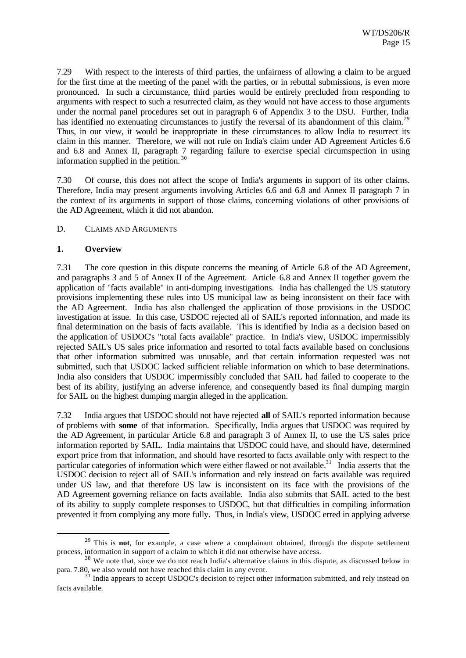7.29 With respect to the interests of third parties, the unfairness of allowing a claim to be argued for the first time at the meeting of the panel with the parties, or in rebuttal submissions, is even more pronounced. In such a circumstance, third parties would be entirely precluded from responding to arguments with respect to such a resurrected claim, as they would not have access to those arguments under the normal panel procedures set out in paragraph 6 of Appendix 3 to the DSU. Further, India has identified no extenuating circumstances to justify the reversal of its abandonment of this claim.<sup>29</sup> Thus, in our view, it would be inappropriate in these circumstances to allow India to resurrect its claim in this manner. Therefore, we will not rule on India's claim under AD Agreement Articles 6.6 and 6.8 and Annex II, paragraph 7 regarding failure to exercise special circumspection in using information supplied in the petition. <sup>30</sup>

7.30 Of course, this does not affect the scope of India's arguments in support of its other claims. Therefore, India may present arguments involving Articles 6.6 and 6.8 and Annex II paragraph 7 in the context of its arguments in support of those claims, concerning violations of other provisions of the AD Agreement, which it did not abandon.

#### D. CLAIMS AND ARGUMENTS

#### **1. Overview**

l

7.31 The core question in this dispute concerns the meaning of Article 6.8 of the AD Agreement, and paragraphs 3 and 5 of Annex II of the Agreement. Article 6.8 and Annex II together govern the application of "facts available" in anti-dumping investigations. India has challenged the US statutory provisions implementing these rules into US municipal law as being inconsistent on their face with the AD Agreement. India has also challenged the application of those provisions in the USDOC investigation at issue. In this case, USDOC rejected all of SAIL's reported information, and made its final determination on the basis of facts available. This is identified by India as a decision based on the application of USDOC's "total facts available" practice. In India's view, USDOC impermissibly rejected SAIL's US sales price information and resorted to total facts available based on conclusions that other information submitted was unusable, and that certain information requested was not submitted, such that USDOC lacked sufficient reliable information on which to base determinations. India also considers that USDOC impermissibly concluded that SAIL had failed to cooperate to the best of its ability, justifying an adverse inference, and consequently based its final dumping margin for SAIL on the highest dumping margin alleged in the application.

7.32 India argues that USDOC should not have rejected **all** of SAIL's reported information because of problems with **some** of that information. Specifically, India argues that USDOC was required by the AD Agreement, in particular Article 6.8 and paragraph 3 of Annex II, to use the US sales price information reported by SAIL. India maintains that USDOC could have, and should have, determined export price from that information, and should have resorted to facts available only with respect to the particular categories of information which were either flawed or not available.<sup>31</sup> India asserts that the USDOC decision to reject all of SAIL's information and rely instead on facts available was required under US law, and that therefore US law is inconsistent on its face with the provisions of the AD Agreement governing reliance on facts available. India also submits that SAIL acted to the best of its ability to supply complete responses to USDOC, but that difficulties in compiling information prevented it from complying any more fully. Thus, in India's view, USDOC erred in applying adverse

<sup>&</sup>lt;sup>29</sup> This is **not**, for example, a case where a complainant obtained, through the dispute settlement process, information in support of a claim to which it did not otherwise have access.

<sup>&</sup>lt;sup>30</sup> We note that, since we do not reach India's alternative claims in this dispute, as discussed below in para. 7.80, we also would not have reached this claim in any event.

 $3<sup>1</sup>$  India appears to accept USDOC's decision to reject other information submitted, and rely instead on facts available.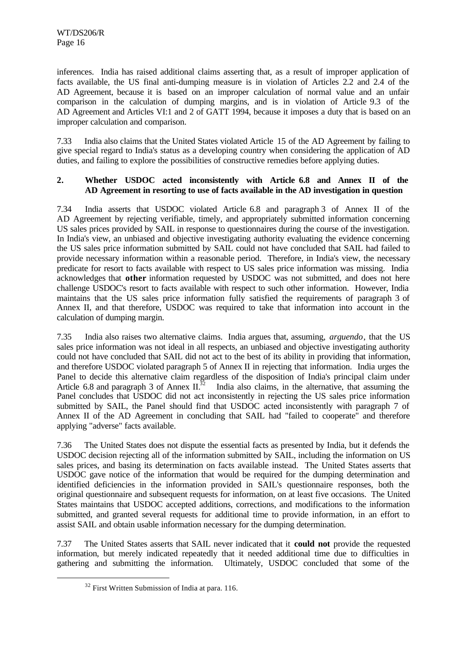inferences. India has raised additional claims asserting that, as a result of improper application of facts available, the US final anti-dumping measure is in violation of Articles 2.2 and 2.4 of the AD Agreement, because it is based on an improper calculation of normal value and an unfair comparison in the calculation of dumping margins, and is in violation of Article 9.3 of the AD Agreement and Articles VI:1 and 2 of GATT 1994, because it imposes a duty that is based on an improper calculation and comparison.

7.33 India also claims that the United States violated Article 15 of the AD Agreement by failing to give special regard to India's status as a developing country when considering the application of AD duties, and failing to explore the possibilities of constructive remedies before applying duties.

### **2. Whether USDOC acted inconsistently with Article 6.8 and Annex II of the AD Agreement in resorting to use of facts available in the AD investigation in question**

7.34 India asserts that USDOC violated Article 6.8 and paragraph 3 of Annex II of the AD Agreement by rejecting verifiable, timely, and appropriately submitted information concerning US sales prices provided by SAIL in response to questionnaires during the course of the investigation. In India's view, an unbiased and objective investigating authority evaluating the evidence concerning the US sales price information submitted by SAIL could not have concluded that SAIL had failed to provide necessary information within a reasonable period. Therefore, in India's view, the necessary predicate for resort to facts available with respect to US sales price information was missing. India acknowledges that **other** information requested by USDOC was not submitted, and does not here challenge USDOC's resort to facts available with respect to such other information. However, India maintains that the US sales price information fully satisfied the requirements of paragraph 3 of Annex II, and that therefore, USDOC was required to take that information into account in the calculation of dumping margin.

7.35 India also raises two alternative claims. India argues that, assuming, *arguendo*, that the US sales price information was not ideal in all respects, an unbiased and objective investigating authority could not have concluded that SAIL did not act to the best of its ability in providing that information, and therefore USDOC violated paragraph 5 of Annex II in rejecting that information. India urges the Panel to decide this alternative claim regardless of the disposition of India's principal claim under Article 6.8 and paragraph 3 of Annex  $II$ <sup>32</sup> India also claims, in the alternative, that assuming the India also claims, in the alternative, that assuming the Panel concludes that USDOC did not act inconsistently in rejecting the US sales price information submitted by SAIL, the Panel should find that USDOC acted inconsistently with paragraph 7 of Annex II of the AD Agreement in concluding that SAIL had "failed to cooperate" and therefore applying "adverse" facts available.

7.36 The United States does not dispute the essential facts as presented by India, but it defends the USDOC decision rejecting all of the information submitted by SAIL, including the information on US sales prices, and basing its determination on facts available instead. The United States asserts that USDOC gave notice of the information that would be required for the dumping determination and identified deficiencies in the information provided in SAIL's questionnaire responses, both the original questionnaire and subsequent requests for information, on at least five occasions. The United States maintains that USDOC accepted additions, corrections, and modifications to the information submitted, and granted several requests for additional time to provide information, in an effort to assist SAIL and obtain usable information necessary for the dumping determination.

7.37 The United States asserts that SAIL never indicated that it **could not** provide the requested information, but merely indicated repeatedly that it needed additional time due to difficulties in gathering and submitting the information. Ultimately, USDOC concluded that some of the

 $32$  First Written Submission of India at para. 116.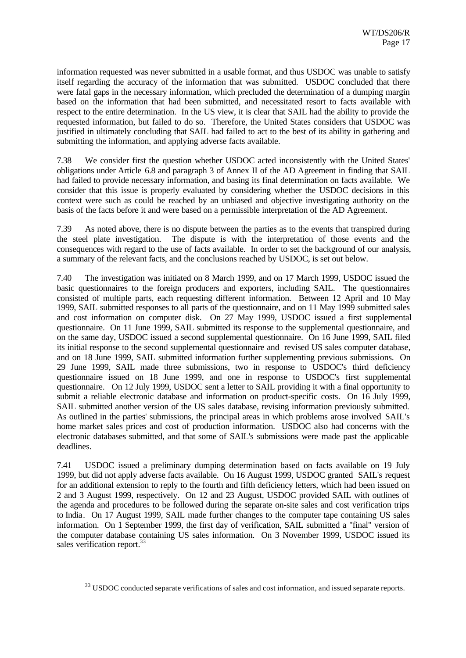information requested was never submitted in a usable format, and thus USDOC was unable to satisfy itself regarding the accuracy of the information that was submitted. USDOC concluded that there were fatal gaps in the necessary information, which precluded the determination of a dumping margin based on the information that had been submitted, and necessitated resort to facts available with respect to the entire determination. In the US view, it is clear that SAIL had the ability to provide the requested information, but failed to do so. Therefore, the United States considers that USDOC was justified in ultimately concluding that SAIL had failed to act to the best of its ability in gathering and submitting the information, and applying adverse facts available.

7.38 We consider first the question whether USDOC acted inconsistently with the United States' obligations under Article 6.8 and paragraph 3 of Annex II of the AD Agreement in finding that SAIL had failed to provide necessary information, and basing its final determination on facts available. We consider that this issue is properly evaluated by considering whether the USDOC decisions in this context were such as could be reached by an unbiased and objective investigating authority on the basis of the facts before it and were based on a permissible interpretation of the AD Agreement.

7.39 As noted above, there is no dispute between the parties as to the events that transpired during the steel plate investigation. The dispute is with the interpretation of those events and the consequences with regard to the use of facts available. In order to set the background of our analysis, a summary of the relevant facts, and the conclusions reached by USDOC, is set out below.

7.40 The investigation was initiated on 8 March 1999, and on 17 March 1999, USDOC issued the basic questionnaires to the foreign producers and exporters, including SAIL. The questionnaires consisted of multiple parts, each requesting different information. Between 12 April and 10 May 1999, SAIL submitted responses to all parts of the questionnaire, and on 11 May 1999 submitted sales and cost information on computer disk. On 27 May 1999, USDOC issued a first supplemental questionnaire. On 11 June 1999, SAIL submitted its response to the supplemental questionnaire, and on the same day, USDOC issued a second supplemental questionnaire. On 16 June 1999, SAIL filed its initial response to the second supplemental questionnaire and revised US sales computer database, and on 18 June 1999, SAIL submitted information further supplementing previous submissions. On 29 June 1999, SAIL made three submissions, two in response to USDOC's third deficiency questionnaire issued on 18 June 1999, and one in response to USDOC's first supplemental questionnaire. On 12 July 1999, USDOC sent a letter to SAIL providing it with a final opportunity to submit a reliable electronic database and information on product-specific costs. On 16 July 1999, SAIL submitted another version of the US sales database, revising information previously submitted. As outlined in the parties' submissions, the principal areas in which problems arose involved SAIL's home market sales prices and cost of production information. USDOC also had concerns with the electronic databases submitted, and that some of SAIL's submissions were made past the applicable deadlines.

7.41 USDOC issued a preliminary dumping determination based on facts available on 19 July 1999, but did not apply adverse facts available. On 16 August 1999, USDOC granted SAIL's request for an additional extension to reply to the fourth and fifth deficiency letters, which had been issued on 2 and 3 August 1999, respectively. On 12 and 23 August, USDOC provided SAIL with outlines of the agenda and procedures to be followed during the separate on-site sales and cost verification trips to India*.* On 17 August 1999, SAIL made further changes to the computer tape containing US sales information. On 1 September 1999, the first day of verification, SAIL submitted a "final" version of the computer database containing US sales information. On 3 November 1999, USDOC issued its sales verification report.<sup>33</sup>

<sup>&</sup>lt;sup>33</sup> USDOC conducted separate verifications of sales and cost information, and issued separate reports.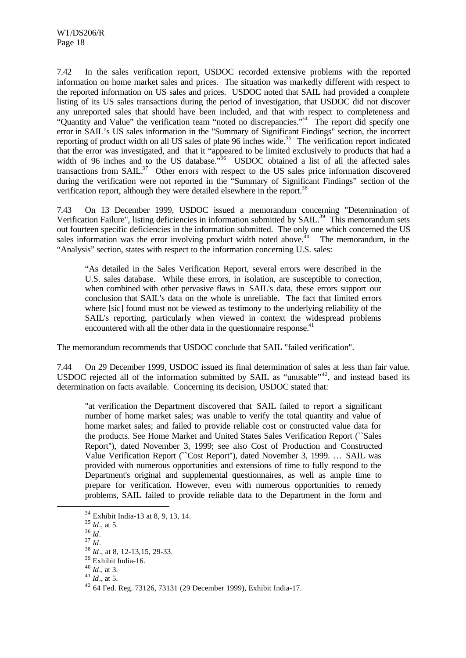7.42 In the sales verification report, USDOC recorded extensive problems with the reported information on home market sales and prices. The situation was markedly different with respect to the reported information on US sales and prices. USDOC noted that SAIL had provided a complete listing of its US sales transactions during the period of investigation, that USDOC did not discover any unreported sales that should have been included, and that with respect to completeness and "Quantity and Value" the verification team "noted no discrepancies."<sup>34</sup> The report did specify one error in SAIL's US sales information in the "Summary of Significant Findings" section, the incorrect reporting of product width on all US sales of plate 96 inches wide.<sup>35</sup> The verification report indicated that the error was investigated, and that it "appeared to be limited exclusively to products that had a width of 96 inches and to the US database.<sup> $356$ </sup> USDOC obtained a list of all the affected sales transactions from SAIL.<sup>37</sup> Other errors with respect to the US sales price information discovered during the verification were not reported in the "Summary of Significant Findings" section of the verification report, although they were detailed elsewhere in the report.<sup>38</sup>

7.43 On 13 December 1999, USDOC issued a memorandum concerning "Determination of Verification Failure", listing deficiencies in information submitted by SAIL.<sup>39</sup> This memorandum sets out fourteen specific deficiencies in the information submitted. The only one which concerned the US sales information was the error involving product width noted above.<sup>40</sup> The memorandum, in the "Analysis" section, states with respect to the information concerning U.S. sales:

"As detailed in the Sales Verification Report, several errors were described in the U.S. sales database. While these errors, in isolation, are susceptible to correction, when combined with other pervasive flaws in SAIL's data, these errors support our conclusion that SAIL's data on the whole is unreliable. The fact that limited errors where [sic] found must not be viewed as testimony to the underlying reliability of the SAIL's reporting, particularly when viewed in context the widespread problems encountered with all the other data in the questionnaire response.<sup>41</sup>

The memorandum recommends that USDOC conclude that SAIL "failed verification".

7.44 On 29 December 1999, USDOC issued its final determination of sales at less than fair value. USDOC rejected all of the information submitted by SAIL as "unusable"<sup>42</sup>, and instead based its determination on facts available. Concerning its decision, USDOC stated that:

"at verification the Department discovered that SAIL failed to report a significant number of home market sales; was unable to verify the total quantity and value of home market sales; and failed to provide reliable cost or constructed value data for the products. See Home Market and United States Sales Verification Report (``Sales Report''), dated November 3, 1999; see also Cost of Production and Constructed Value Verification Report (``Cost Report''), dated November 3, 1999. … SAIL was provided with numerous opportunities and extensions of time to fully respond to the Department's original and supplemental questionnaires, as well as ample time to prepare for verification. However, even with numerous opportunities to remedy problems, SAIL failed to provide reliable data to the Department in the form and

 $34$  Exhibit India-13 at 8, 9, 13, 14.

<sup>35</sup> *Id*., at 5.

<sup>36</sup> *Id*.

<sup>37</sup> *Id*.

<sup>&</sup>lt;sup>38</sup> *Id.*, at 8, 12-13, 15, 29-33.

<sup>39</sup> Exhibit India-16.

<sup>40</sup> *Id*., at 3.

 $^{41}$  *Id.*, at 5.

<sup>42</sup> 64 Fed. Reg. 73126, 73131 (29 December 1999), Exhibit India-17.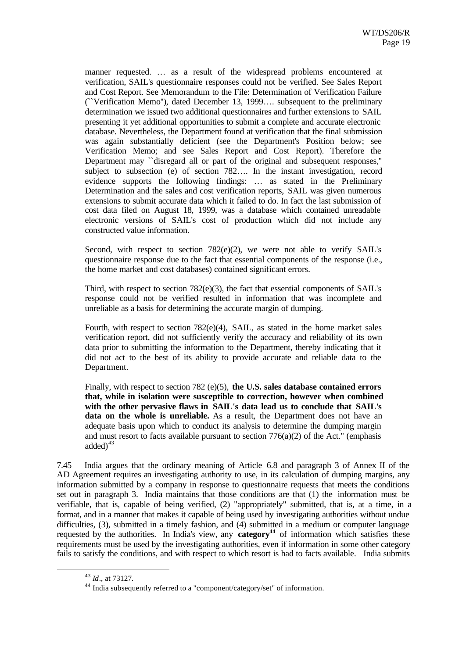manner requested. … as a result of the widespread problems encountered at verification, SAIL's questionnaire responses could not be verified. See Sales Report and Cost Report. See Memorandum to the File: Determination of Verification Failure (``Verification Memo''), dated December 13, 1999…. subsequent to the preliminary determination we issued two additional questionnaires and further extensions to SAIL presenting it yet additional opportunities to submit a complete and accurate electronic database. Nevertheless, the Department found at verification that the final submission was again substantially deficient (see the Department's Position below; see Verification Memo; and see Sales Report and Cost Report). Therefore the Department may ``disregard all or part of the original and subsequent responses,'' subject to subsection (e) of section 782…. In the instant investigation, record evidence supports the following findings: … as stated in the Preliminary Determination and the sales and cost verification reports, SAIL was given numerous extensions to submit accurate data which it failed to do. In fact the last submission of cost data filed on August 18, 1999, was a database which contained unreadable electronic versions of SAIL's cost of production which did not include any constructed value information.

Second, with respect to section  $782(e)(2)$ , we were not able to verify SAIL's questionnaire response due to the fact that essential components of the response (i.e., the home market and cost databases) contained significant errors.

Third, with respect to section 782(e)(3), the fact that essential components of SAIL's response could not be verified resulted in information that was incomplete and unreliable as a basis for determining the accurate margin of dumping.

Fourth, with respect to section  $782(e)(4)$ , SAIL, as stated in the home market sales verification report, did not sufficiently verify the accuracy and reliability of its own data prior to submitting the information to the Department, thereby indicating that it did not act to the best of its ability to provide accurate and reliable data to the Department.

Finally, with respect to section 782 (e)(5), **the U.S. sales database contained errors that, while in isolation were susceptible to correction, however when combined with the other pervasive flaws in SAIL's data lead us to conclude that SAIL's data on the whole is unreliable.** As a result, the Department does not have an adequate basis upon which to conduct its analysis to determine the dumping margin and must resort to facts available pursuant to section  $776(a)(2)$  of the Act." (emphasis added $)^{43}$ 

7.45 India argues that the ordinary meaning of Article 6.8 and paragraph 3 of Annex II of the AD Agreement requires an investigating authority to use, in its calculation of dumping margins, any information submitted by a company in response to questionnaire requests that meets the conditions set out in paragraph 3. India maintains that those conditions are that (1) the information must be verifiable, that is, capable of being verified, (2) "appropriately" submitted, that is, at a time, in a format, and in a manner that makes it capable of being used by investigating authorities without undue difficulties, (3), submitted in a timely fashion, and (4) submitted in a medium or computer language requested by the authorities. In India's view, any **category<sup>44</sup>** of information which satisfies these requirements must be used by the investigating authorities, even if information in some other category fails to satisfy the conditions, and with respect to which resort is had to facts available. India submits

<sup>43</sup> *Id*., at 73127.

<sup>44</sup> India subsequently referred to a "component/category/set" of information.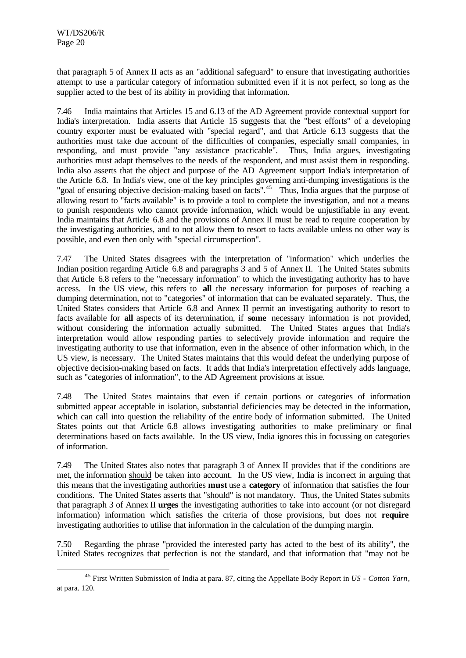l

that paragraph 5 of Annex II acts as an "additional safeguard" to ensure that investigating authorities attempt to use a particular category of information submitted even if it is not perfect, so long as the supplier acted to the best of its ability in providing that information.

7.46 India maintains that Articles 15 and 6.13 of the AD Agreement provide contextual support for India's interpretation. India asserts that Article 15 suggests that the "best efforts" of a developing country exporter must be evaluated with "special regard", and that Article 6.13 suggests that the authorities must take due account of the difficulties of companies, especially small companies, in responding, and must provide "any assistance practicable". Thus, India argues, investigating authorities must adapt themselves to the needs of the respondent, and must assist them in responding. India also asserts that the object and purpose of the AD Agreement support India's interpretation of the Article 6.8. In India's view, one of the key principles governing anti-dumping investigations is the "goal of ensuring objective decision-making based on facts".<sup>45</sup> Thus, India argues that the purpose of allowing resort to "facts available" is to provide a tool to complete the investigation, and not a means to punish respondents who cannot provide information, which would be unjustifiable in any event. India maintains that Article 6.8 and the provisions of Annex II must be read to require cooperation by the investigating authorities, and to not allow them to resort to facts available unless no other way is possible, and even then only with "special circumspection".

7.47 The United States disagrees with the interpretation of "information" which underlies the Indian position regarding Article 6.8 and paragraphs 3 and 5 of Annex II. The United States submits that Article 6.8 refers to the "necessary information" to which the investigating authority has to have access. In the US view, this refers to **all** the necessary information for purposes of reaching a dumping determination, not to "categories" of information that can be evaluated separately. Thus, the United States considers that Article 6.8 and Annex II permit an investigating authority to resort to facts available for **all** aspects of its determination, if **some** necessary information is not provided, without considering the information actually submitted. The United States argues that India's interpretation would allow responding parties to selectively provide information and require the investigating authority to use that information, even in the absence of other information which, in the US view, is necessary. The United States maintains that this would defeat the underlying purpose of objective decision-making based on facts. It adds that India's interpretation effectively adds language, such as "categories of information", to the AD Agreement provisions at issue.

7.48 The United States maintains that even if certain portions or categories of information submitted appear acceptable in isolation, substantial deficiencies may be detected in the information, which can call into question the reliability of the entire body of information submitted. The United States points out that Article 6.8 allows investigating authorities to make preliminary or final determinations based on facts available. In the US view, India ignores this in focussing on categories of information.

7.49 The United States also notes that paragraph 3 of Annex II provides that if the conditions are met, the information should be taken into account. In the US view, India is incorrect in arguing that this means that the investigating authorities **must** use a **category** of information that satisfies the four conditions. The United States asserts that "should" is not mandatory. Thus, the United States submits that paragraph 3 of Annex II **urges** the investigating authorities to take into account (or not disregard information) information which satisfies the criteria of those provisions, but does not **require** investigating authorities to utilise that information in the calculation of the dumping margin.

7.50 Regarding the phrase "provided the interested party has acted to the best of its ability", the United States recognizes that perfection is not the standard, and that information that "may not be

<sup>45</sup> First Written Submission of India at para. 87, citing the Appellate Body Report in *US - Cotton Yarn*, at para. 120.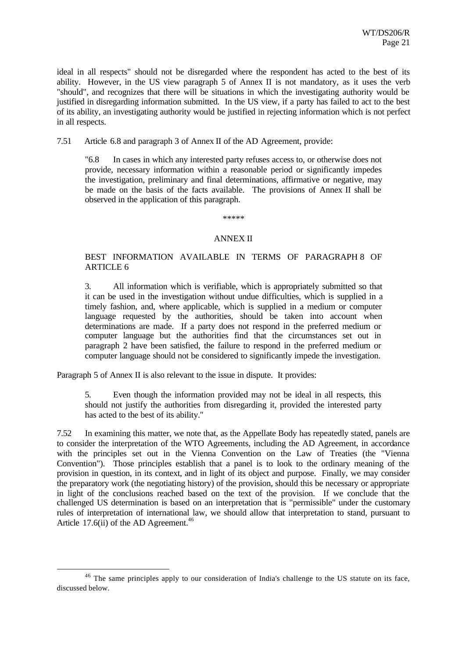ideal in all respects" should not be disregarded where the respondent has acted to the best of its ability. However, in the US view paragraph 5 of Annex II is not mandatory, as it uses the verb "should", and recognizes that there will be situations in which the investigating authority would be justified in disregarding information submitted. In the US view, if a party has failed to act to the best of its ability, an investigating authority would be justified in rejecting information which is not perfect in all respects.

7.51 Article 6.8 and paragraph 3 of Annex II of the AD Agreement, provide:

"6.8 In cases in which any interested party refuses access to, or otherwise does not provide, necessary information within a reasonable period or significantly impedes the investigation, preliminary and final determinations, affirmative or negative, may be made on the basis of the facts available. The provisions of Annex II shall be observed in the application of this paragraph.

\*\*\*\*\*

#### ANNEX II

BEST INFORMATION AVAILABLE IN TERMS OF PARAGRAPH 8 OF ARTICLE 6

3. All information which is verifiable, which is appropriately submitted so that it can be used in the investigation without undue difficulties, which is supplied in a timely fashion, and, where applicable, which is supplied in a medium or computer language requested by the authorities, should be taken into account when determinations are made. If a party does not respond in the preferred medium or computer language but the authorities find that the circumstances set out in paragraph 2 have been satisfied, the failure to respond in the preferred medium or computer language should not be considered to significantly impede the investigation.

Paragraph 5 of Annex II is also relevant to the issue in dispute. It provides:

l

5. Even though the information provided may not be ideal in all respects, this should not justify the authorities from disregarding it, provided the interested party has acted to the best of its ability."

7.52 In examining this matter, we note that, as the Appellate Body has repeatedly stated, panels are to consider the interpretation of the WTO Agreements, including the AD Agreement, in accordance with the principles set out in the Vienna Convention on the Law of Treaties (the "Vienna Convention"). Those principles establish that a panel is to look to the ordinary meaning of the provision in question, in its context, and in light of its object and purpose. Finally, we may consider the preparatory work (the negotiating history) of the provision, should this be necessary or appropriate in light of the conclusions reached based on the text of the provision. If we conclude that the challenged US determination is based on an interpretation that is "permissible" under the customary rules of interpretation of international law, we should allow that interpretation to stand, pursuant to Article 17.6(ii) of the AD Agreement.<sup>46</sup>

<sup>&</sup>lt;sup>46</sup> The same principles apply to our consideration of India's challenge to the US statute on its face, discussed below.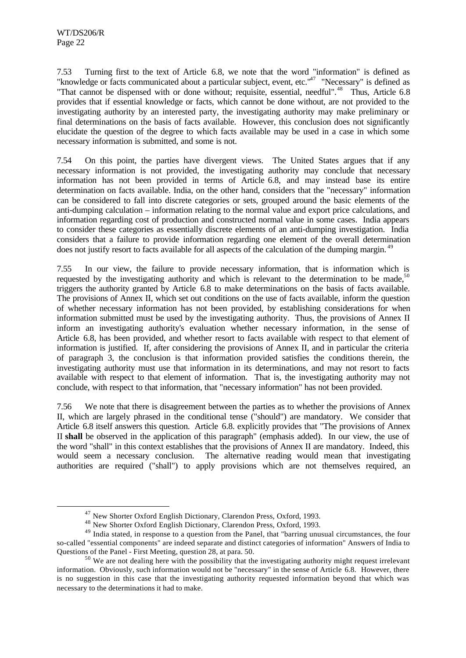l

7.53 Turning first to the text of Article 6.8, we note that the word "information" is defined as "knowledge or facts communicated about a particular subject, event, etc."<sup>47</sup> "Necessary" is defined as "That cannot be dispensed with or done without; requisite, essential, needful".<sup>48</sup> Thus, Article 6.8 provides that if essential knowledge or facts, which cannot be done without, are not provided to the investigating authority by an interested party, the investigating authority may make preliminary or final determinations on the basis of facts available. However, this conclusion does not significantly elucidate the question of the degree to which facts available may be used in a case in which some necessary information is submitted, and some is not.

7.54 On this point, the parties have divergent views. The United States argues that if any necessary information is not provided, the investigating authority may conclude that necessary information has not been provided in terms of Article 6.8, and may instead base its entire determination on facts available. India, on the other hand, considers that the "necessary" information can be considered to fall into discrete categories or sets, grouped around the basic elements of the anti-dumping calculation – information relating to the normal value and export price calculations, and information regarding cost of production and constructed normal value in some cases. India appears to consider these categories as essentially discrete elements of an anti-dumping investigation. India considers that a failure to provide information regarding one element of the overall determination does not justify resort to facts available for all aspects of the calculation of the dumping margin. <sup>49</sup>

7.55 In our view, the failure to provide necessary information, that is information which is requested by the investigating authority and which is relevant to the determination to be made.<sup>50</sup> triggers the authority granted by Article 6.8 to make determinations on the basis of facts available. The provisions of Annex II, which set out conditions on the use of facts available, inform the question of whether necessary information has not been provided, by establishing considerations for when information submitted must be used by the investigating authority. Thus, the provisions of Annex II inform an investigating authority's evaluation whether necessary information, in the sense of Article 6.8, has been provided, and whether resort to facts available with respect to that element of information is justified. If, after considering the provisions of Annex II, and in particular the criteria of paragraph 3, the conclusion is that information provided satisfies the conditions therein, the investigating authority must use that information in its determinations, and may not resort to facts available with respect to that element of information. That is, the investigating authority may not conclude, with respect to that information, that "necessary information" has not been provided.

7.56 We note that there is disagreement between the parties as to whether the provisions of Annex II, which are largely phrased in the conditional tense ("should") are mandatory. We consider that Article 6.8 itself answers this question. Article 6.8. explicitly provides that "The provisions of Annex II **shall** be observed in the application of this paragraph" (emphasis added). In our view, the use of the word "shall" in this context establishes that the provisions of Annex II are mandatory. Indeed, this would seem a necessary conclusion. The alternative reading would mean that investigating authorities are required ("shall") to apply provisions which are not themselves required, an

<sup>&</sup>lt;sup>47</sup> New Shorter Oxford English Dictionary, Clarendon Press, Oxford, 1993.

<sup>48</sup> New Shorter Oxford English Dictionary, Clarendon Press, Oxford, 1993.

<sup>&</sup>lt;sup>49</sup> India stated, in response to a question from the Panel, that "barring unusual circumstances, the four so-called "essential components" are indeed separate and distinct categories of information" Answers of India to Questions of the Panel - First Meeting, question 28, at para. 50.

 $50$  We are not dealing here with the possibility that the investigating authority might request irrelevant information. Obviously, such information would not be "necessary" in the sense of Article 6.8. However, there is no suggestion in this case that the investigating authority requested information beyond that which was necessary to the determinations it had to make.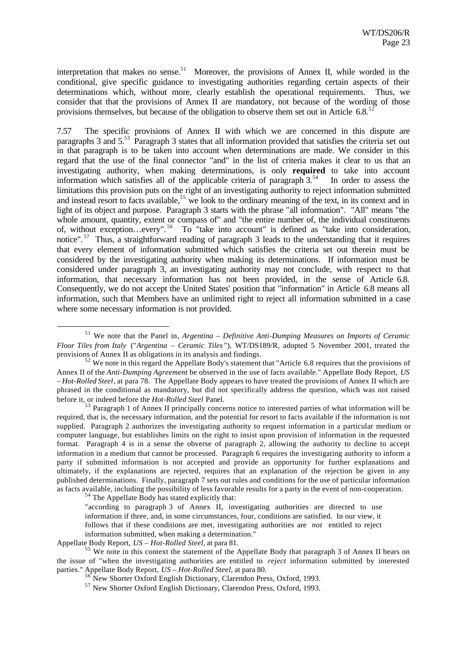interpretation that makes no sense.<sup>51</sup> Moreover, the provisions of Annex II, while worded in the conditional, give specific guidance to investigating authorities regarding certain aspects of their determinations which, without more, clearly establish the operational requirements. Thus, we consider that that the provisions of Annex II are mandatory, not because of the wording of those provisions themselves, but because of the obligation to observe them set out in Article 6.8. $^{52}$ 

7.57 The specific provisions of Annex II with which we are concerned in this dispute are paragraphs 3 and 5.<sup>53</sup> Paragraph 3 states that all information provided that satisfies the criteria set out in that paragraph is to be taken into account when determinations are made. We consider in this regard that the use of the final connector "and" in the list of criteria makes it clear to us that an investigating authority, when making determinations, is only **required** to take into account information which satisfies all of the applicable criteria of paragraph  $3.54$  In order to assess the limitations this provision puts on the right of an investigating authority to reject information submitted and instead resort to facts available,<sup>55</sup> we look to the ordinary meaning of the text, in its context and in light of its object and purpose. Paragraph 3 starts with the phrase "all information". "All" means "the whole amount, quantity, extent or compass of" and "the entire number of, the individual constituents of, without exception…every". <sup>56</sup> To "take into account" is defined as "take into consideration, notice". <sup>57</sup> Thus, a straightforward reading of paragraph 3 leads to the understanding that it requires that every element of information submitted which satisfies the criteria set out therein must be considered by the investigating authority when making its determinations. If information must be considered under paragraph 3, an investigating authority may not conclude, with respect to that information, that necessary information has not been provided, in the sense of Article 6.8. Consequently, we do not accept the United States' position that "information" in Article 6.8 means all information, such that Members have an unlimited right to reject all information submitted in a case where some necessary information is not provided.

 $53$  Paragraph 1 of Annex II principally concerns notice to interested parties of what information will be required, that is, the necessary information, and the potential for resort to facts available if the information is not supplied. Paragraph 2 authorizes the investigating authority to request information in a particular medium or computer language, but establishes limits on the right to insist upon provision of information in the requested format. Paragraph 4 is in a sense the obverse of paragraph 2, allowing the authority to decline to accept information in a medium that cannot be processed. Paragraph 6 requires the investigating authority to inform a party if submitted information is not accepted and provide an opportunity for further explanations and ultimately, if the explanations are rejected, requires that an explanation of the rejection be given in any published determinations. Finally, paragraph 7 sets out rules and conditions for the use of particular information as facts available, including the possibility of less favorable results for a party in the event of non-cooperation.

 $54$  The Appellate Body has stated explicitly that:

Appellate Body Report, *US – Hot-Rolled Steel*, at para 81.

<sup>51</sup> We note that the Panel in, *Argentina – Definitive Anti-Dumping Measures on Imports of Ceramic Floor Tiles from Italy* ("*Argentina – Ceramic Tiles* "), WT/DS189/R, adopted 5 November 2001, treated the provisions of Annex II as obligations in its analysis and findings.

 $52$  We note in this regard the Appellate Body's statement that "Article 6.8 requires that the provisions of Annex II of the *Anti-Dumping Agreement* be observed in the use of facts available." Appellate Body Report, *US – Hot-Rolled Steel*, at para 78. The Appellate Body appears to have treated the provisions of Annex II which are phrased in the conditional as mandatory, but did not specifically address the question, which was not raised before it, or indeed before the *Hot-Rolled Steel* Panel.

<sup>&</sup>quot;according to paragraph 3 of Annex II, investigating authorities are directed to use information if three, and, in some circumstances, four, conditions are satisfied. In our view, it follows that if these conditions are met, investigating authorities are *not* entitled to reject information submitted, when making a determination."

<sup>&</sup>lt;sup>55</sup> We note in this context the statement of the Appellate Body that paragraph 3 of Annex II bears on the issue of "when the investigating authorities are entitled to *reject* information submitted by interested parties." Appellate Body Report, *US – Hot-Rolled Steel*, at para 80.

<sup>&</sup>lt;sup>56</sup> New Shorter Oxford English Dictionary, Clarendon Press, Oxford, 1993.

<sup>&</sup>lt;sup>57</sup> New Shorter Oxford English Dictionary, Clarendon Press, Oxford, 1993.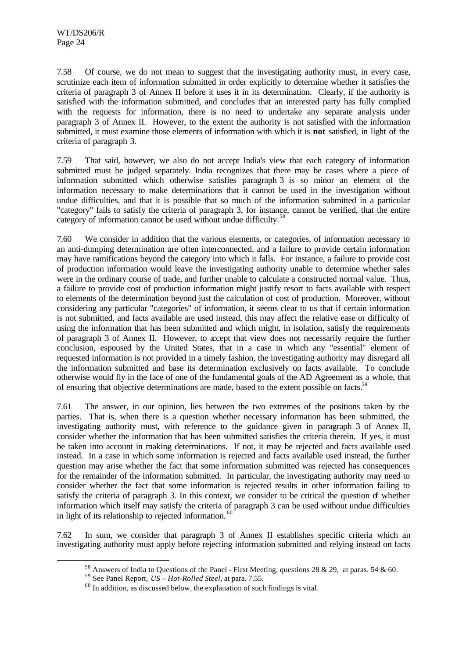7.58 Of course, we do not mean to suggest that the investigating authority must, in every case, scrutinize each item of information submitted in order explicitly to determine whether it satisfies the criteria of paragraph 3 of Annex II before it uses it in its determination. Clearly, if the authority is satisfied with the information submitted, and concludes that an interested party has fully complied with the requests for information, there is no need to undertake any separate analysis under paragraph 3 of Annex II. However, to the extent the authority is not satisfied with the information submitted, it must examine those elements of information with which it is **not** satisfied, in light of the criteria of paragraph 3.

7.59 That said, however, we also do not accept India's view that each category of information submitted must be judged separately. India recognizes that there may be cases where a piece of information submitted which otherwise satisfies paragraph 3 is so minor an element of the information necessary to make determinations that it cannot be used in the investigation without undue difficulties, and that it is possible that so much of the information submitted in a particular "category" fails to satisfy the criteria of paragraph 3, for instance, cannot be verified, that the entire category of information cannot be used without undue difficulty.<sup>5</sup>

7.60 We consider in addition that the various elements, or categories, of information necessary to an anti-dumping determination are often interconnected, and a failure to provide certain information may have ramifications beyond the category into which it falls. For instance, a failure to provide cost of production information would leave the investigating authority unable to determine whether sales were in the ordinary course of trade, and further unable to calculate a constructed normal value. Thus, a failure to provide cost of production information might justify resort to facts available with respect to elements of the determination beyond just the calculation of cost of production. Moreover, without considering any particular "categories" of information, it seems clear to us that if certain information is not submitted, and facts available are used instead, this may affect the relative ease or difficulty of using the information that has been submitted and which might, in isolation, satisfy the requirements of paragraph 3 of Annex II. However, to accept that view does not necessarily require the further conclusion, espoused by the United States, that in a case in which any "essential" element of requested information is not provided in a timely fashion, the investigating authority may disregard all the information submitted and base its determination exclusively on facts available. To conclude otherwise would fly in the face of one of the fundamental goals of the AD Agreement as a whole, that of ensuring that objective determinations are made, based to the extent possible on facts.<sup>59</sup>

7.61 The answer, in our opinion, lies between the two extremes of the positions taken by the parties. That is, when there is a question whether necessary information has been submitted, the investigating authority must, with reference to the guidance given in paragraph 3 of Annex II, consider whether the information that has been submitted satisfies the criteria therein. If yes, it must be taken into account in making determinations. If not, it may be rejected and facts available used instead. In a case in which some information is rejected and facts available used instead, the further question may arise whether the fact that some information submitted was rejected has consequences for the remainder of the information submitted. In particular, the investigating authority may need to consider whether the fact that some information is rejected results in other information failing to satisfy the criteria of paragraph 3. In this context, we consider to be critical the question of whether information which itself may satisfy the criteria of paragraph 3 can be used without undue difficulties in light of its relationship to rejected information.<sup>60</sup>

7.62 In sum, we consider that paragraph 3 of Annex II establishes specific criteria which an investigating authority must apply before rejecting information submitted and relying instead on facts

<sup>&</sup>lt;sup>58</sup> Answers of India to Questions of the Panel - First Meeting, questions 28 & 29, at paras. 54 & 60.

<sup>59</sup> See Panel Report, *US – Hot-Rolled Steel*, at para. 7.55.

 $60$  In addition, as discussed below, the explanation of such findings is vital.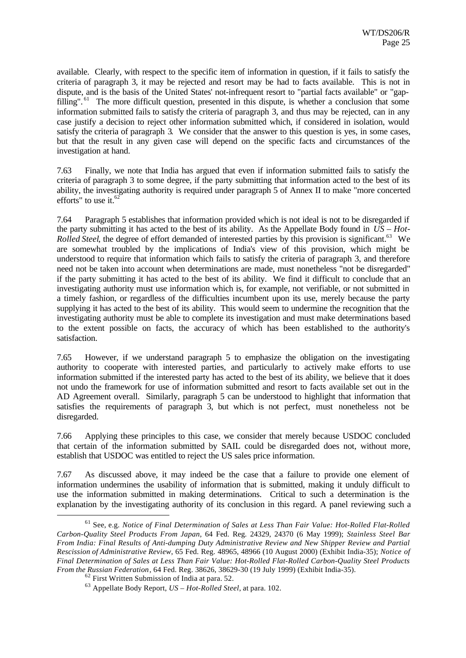available. Clearly, with respect to the specific item of information in question, if it fails to satisfy the criteria of paragraph 3, it may be rejected and resort may be had to facts available. This is not in dispute, and is the basis of the United States' not-infrequent resort to "partial facts available" or "gapfilling".<sup>61</sup> The more difficult question, presented in this dispute, is whether a conclusion that some information submitted fails to satisfy the criteria of paragraph 3, and thus may be rejected, can in any case justify a decision to reject other information submitted which, if considered in isolation, would satisfy the criteria of paragraph 3. We consider that the answer to this question is yes, in some cases, but that the result in any given case will depend on the specific facts and circumstances of the investigation at hand.

7.63 Finally, we note that India has argued that even if information submitted fails to satisfy the criteria of paragraph 3 to some degree, if the party submitting that information acted to the best of its ability, the investigating authority is required under paragraph 5 of Annex II to make "more concerted efforts" to use it. $62$ 

7.64 Paragraph 5 establishes that information provided which is not ideal is not to be disregarded if the party submitting it has acted to the best of its ability. As the Appellate Body found in *US – Hot-Rolled Steel*, the degree of effort demanded of interested parties by this provision is significant.<sup>63</sup> We are somewhat troubled by the implications of India's view of this provision, which might be understood to require that information which fails to satisfy the criteria of paragraph 3, and therefore need not be taken into account when determinations are made, must nonetheless "not be disregarded" if the party submitting it has acted to the best of its ability. We find it difficult to conclude that an investigating authority must use information which is, for example, not verifiable, or not submitted in a timely fashion, or regardless of the difficulties incumbent upon its use, merely because the party supplying it has acted to the best of its ability. This would seem to undermine the recognition that the investigating authority must be able to complete its investigation and must make determinations based to the extent possible on facts, the accuracy of which has been established to the authority's satisfaction.

7.65 However, if we understand paragraph 5 to emphasize the obligation on the investigating authority to cooperate with interested parties, and particularly to actively make efforts to use information submitted if the interested party has acted to the best of its ability, we believe that it does not undo the framework for use of information submitted and resort to facts available set out in the AD Agreement overall. Similarly, paragraph 5 can be understood to highlight that information that satisfies the requirements of paragraph 3, but which is not perfect, must nonetheless not be disregarded.

7.66 Applying these principles to this case, we consider that merely because USDOC concluded that certain of the information submitted by SAIL could be disregarded does not, without more, establish that USDOC was entitled to reject the US sales price information.

7.67 As discussed above, it may indeed be the case that a failure to provide one element of information undermines the usability of information that is submitted, making it unduly difficult to use the information submitted in making determinations. Critical to such a determination is the explanation by the investigating authority of its conclusion in this regard. A panel reviewing such a

<sup>61</sup> See, e.g. *Notice of Final Determination of Sales at Less Than Fair Value: Hot-Rolled Flat-Rolled Carbon-Quality Steel Products From Japan*, 64 Fed. Reg. 24329, 24370 (6 May 1999); *Stainless Steel Bar From India: Final Results of Anti-dumping Duty Administrative Review and New Shipper Review and Partial Rescission of Administrative Review*, 65 Fed. Reg. 48965, 48966 (10 August 2000) (Exhibit India-35); *Notice of Final Determination of Sales at Less Than Fair Value: Hot-Rolled Flat-Rolled Carbon-Quality Steel Products From the Russian Federation*, 64 Fed. Reg. 38626, 38629-30 (19 July 1999) (Exhibit India-35).

 $62$  First Written Submission of India at para. 52.

<sup>63</sup> Appellate Body Report, *US – Hot-Rolled Steel*, at para. 102.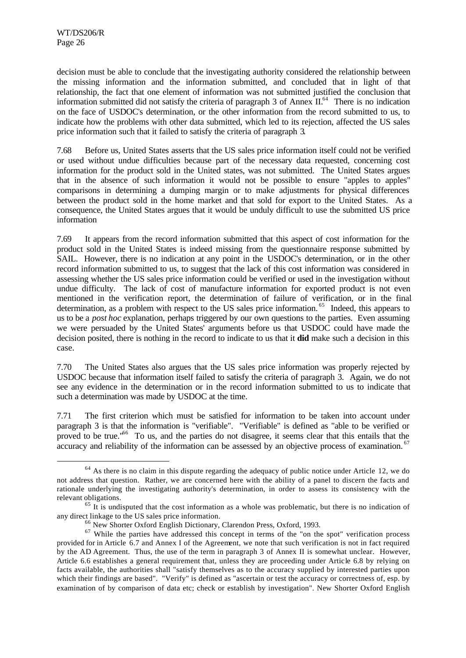l

decision must be able to conclude that the investigating authority considered the relationship between the missing information and the information submitted, and concluded that in light of that relationship, the fact that one element of information was not submitted justified the conclusion that information submitted did not satisfy the criteria of paragraph  $3$  of Annex II.<sup>64</sup> There is no indication on the face of USDOC's determination, or the other information from the record submitted to us, to indicate how the problems with other data submitted, which led to its rejection, affected the US sales price information such that it failed to satisfy the criteria of paragraph 3.

7.68 Before us, United States asserts that the US sales price information itself could not be verified or used without undue difficulties because part of the necessary data requested, concerning cost information for the product sold in the United states, was not submitted. The United States argues that in the absence of such information it would not be possible to ensure "apples to apples" comparisons in determining a dumping margin or to make adjustments for physical differences between the product sold in the home market and that sold for export to the United States. As a consequence, the United States argues that it would be unduly difficult to use the submitted US price information

7.69 It appears from the record information submitted that this aspect of cost information for the product sold in the United States is indeed missing from the questionnaire response submitted by SAIL. However, there is no indication at any point in the USDOC's determination, or in the other record information submitted to us, to suggest that the lack of this cost information was considered in assessing whether the US sales price information could be verified or used in the investigation without undue difficulty. The lack of cost of manufacture information for exported product is not even mentioned in the verification report, the determination of failure of verification, or in the final determination, as a problem with respect to the US sales price information.<sup>65</sup> Indeed, this appears to us to be a *post hoc* explanation, perhaps triggered by our own questions to the parties. Even assuming we were persuaded by the United States' arguments before us that USDOC could have made the decision posited, there is nothing in the record to indicate to us that it **did** make such a decision in this case.

7.70 The United States also argues that the US sales price information was properly rejected by USDOC because that information itself failed to satisfy the criteria of paragraph 3. Again, we do not see any evidence in the determination or in the record information submitted to us to indicate that such a determination was made by USDOC at the time.

7.71 The first criterion which must be satisfied for information to be taken into account under paragraph 3 is that the information is "verifiable". "Verifiable" is defined as "able to be verified or proved to be true."<sup>66</sup> To us, and the parties do not disagree, it seems clear that this entails that the accuracy and reliability of the information can be assessed by an objective process of examination.<sup>67</sup>

<sup>&</sup>lt;sup>64</sup> As there is no claim in this dispute regarding the adequacy of public notice under Article 12, we do not address that question. Rather, we are concerned here with the ability of a panel to discern the facts and rationale underlying the investigating authority's determination, in order to assess its consistency with the relevant obligations.

 $65$  It is undisputed that the cost information as a whole was problematic, but there is no indication of any direct linkage to the US sales price information.

<sup>66</sup> New Shorter Oxford English Dictionary, Clarendon Press, Oxford, 1993.

<sup>&</sup>lt;sup>67</sup> While the parties have addressed this concept in terms of the "on the spot" verification process provided for in Article 6.7 and Annex I of the Agreement, we note that such verification is not in fact required by the AD Agreement. Thus, the use of the term in paragraph 3 of Annex II is somewhat unclear. However, Article 6.6 establishes a general requirement that, unless they are proceeding under Article 6.8 by relying on facts available, the authorities shall "satisfy themselves as to the accuracy supplied by interested parties upon which their findings are based". "Verify" is defined as "ascertain or test the accuracy or correctness of, esp. by examination of by comparison of data etc; check or establish by investigation". New Shorter Oxford English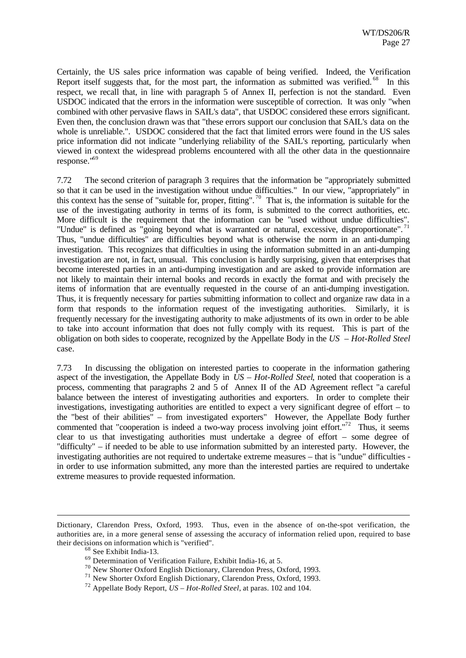Certainly, the US sales price information was capable of being verified. Indeed, the Verification Report itself suggests that, for the most part, the information as submitted was verified.<sup>68</sup> In this respect, we recall that, in line with paragraph 5 of Annex II, perfection is not the standard. Even USDOC indicated that the errors in the information were susceptible of correction. It was only "when combined with other pervasive flaws in SAIL's data", that USDOC considered these errors significant. Even then, the conclusion drawn was that "these errors support our conclusion that SAIL's data on the whole is unreliable.". USDOC considered that the fact that limited errors were found in the US sales price information did not indicate "underlying reliability of the SAIL's reporting, particularly when viewed in context the widespread problems encountered with all the other data in the questionnaire response."<sup>69</sup>

7.72 The second criterion of paragraph 3 requires that the information be "appropriately submitted so that it can be used in the investigation without undue difficulties." In our view, "appropriately" in this context has the sense of "suitable for, proper, fitting".<sup>70</sup> That is, the information is suitable for the use of the investigating authority in terms of its form, is submitted to the correct authorities, etc. More difficult is the requirement that the information can be "used without undue difficulties". "Undue" is defined as "going beyond what is warranted or natural, excessive, disproportionate".<sup>71</sup> Thus, "undue difficulties" are difficulties beyond what is otherwise the norm in an anti-dumping investigation. This recognizes that difficulties in using the information submitted in an anti-dumping investigation are not, in fact, unusual. This conclusion is hardly surprising, given that enterprises that become interested parties in an anti-dumping investigation and are asked to provide information are not likely to maintain their internal books and records in exactly the format and with precisely the items of information that are eventually requested in the course of an anti-dumping investigation. Thus, it is frequently necessary for parties submitting information to collect and organize raw data in a form that responds to the information request of the investigating authorities. Similarly, it is frequently necessary for the investigating authority to make adjustments of its own in order to be able to take into account information that does not fully comply with its request. This is part of the obligation on both sides to cooperate, recognized by the Appellate Body in the *US – Hot-Rolled Steel* case.

7.73 In discussing the obligation on interested parties to cooperate in the information gathering aspect of the investigation, the Appellate Body in *US – Hot-Rolled Steel*, noted that cooperation is a process, commenting that paragraphs 2 and 5 of Annex II of the AD Agreement reflect "a careful balance between the interest of investigating authorities and exporters. In order to complete their investigations, investigating authorities are entitled to expect a very significant degree of effort – to the "best of their abilities" – from investigated exporters" However, the Appellate Body further commented that "cooperation is indeed a two-way process involving joint effort."<sup>72</sup> Thus, it seems clear to us that investigating authorities must undertake a degree of effort – some degree of "difficulty" – if needed to be able to use information submitted by an interested party. However, the investigating authorities are not required to undertake extreme measures – that is "undue" difficulties in order to use information submitted, any more than the interested parties are required to undertake extreme measures to provide requested information.

Dictionary, Clarendon Press, Oxford, 1993. Thus, even in the absence of on-the-spot verification, the authorities are, in a more general sense of assessing the accuracy of information relied upon, required to base their decisions on information which is "verified".

<sup>68</sup> See Exhibit India-13.

<sup>69</sup> Determination of Verification Failure, Exhibit India-16, at 5.

<sup>70</sup> New Shorter Oxford English Dictionary, Clarendon Press, Oxford, 1993.

<sup>71</sup> New Shorter Oxford English Dictionary, Clarendon Press, Oxford, 1993.

<sup>72</sup> Appellate Body Report, *US – Hot-Rolled Steel*, at paras. 102 and 104.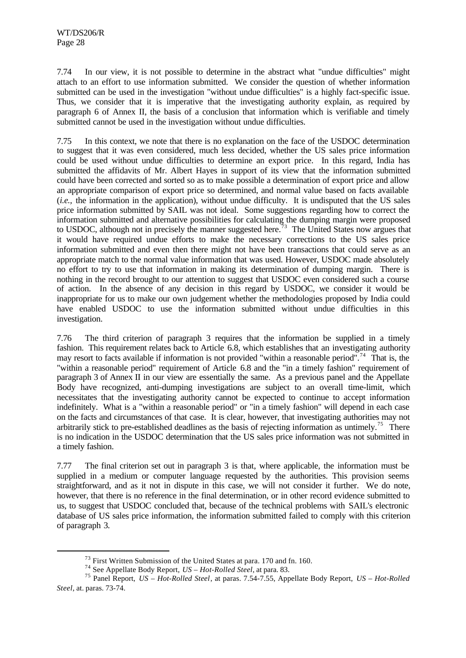l

7.74 In our view, it is not possible to determine in the abstract what "undue difficulties" might attach to an effort to use information submitted. We consider the question of whether information submitted can be used in the investigation "without undue difficulties" is a highly fact-specific issue. Thus, we consider that it is imperative that the investigating authority explain, as required by paragraph 6 of Annex II, the basis of a conclusion that information which is verifiable and timely submitted cannot be used in the investigation without undue difficulties.

7.75 In this context, we note that there is no explanation on the face of the USDOC determination to suggest that it was even considered, much less decided, whether the US sales price information could be used without undue difficulties to determine an export price. In this regard, India has submitted the affidavits of Mr. Albert Hayes in support of its view that the information submitted could have been corrected and sorted so as to make possible a determination of export price and allow an appropriate comparison of export price so determined, and normal value based on facts available (*i.e.,* the information in the application), without undue difficulty. It is undisputed that the US sales price information submitted by SAIL was not ideal. Some suggestions regarding how to correct the information submitted and alternative possibilities for calculating the dumping margin were proposed to USDOC, although not in precisely the manner suggested here.<sup>73</sup> The United States now argues that it would have required undue efforts to make the necessary corrections to the US sales price information submitted and even then there might not have been transactions that could serve as an appropriate match to the normal value information that was used. However, USDOC made absolutely no effort to try to use that information in making its determination of dumping margin. There is nothing in the record brought to our attention to suggest that USDOC even considered such a course of action. In the absence of any decision in this regard by USDOC, we consider it would be inappropriate for us to make our own judgement whether the methodologies proposed by India could have enabled USDOC to use the information submitted without undue difficulties in this investigation.

7.76 The third criterion of paragraph 3 requires that the information be supplied in a timely fashion. This requirement relates back to Article 6.8, which establishes that an investigating authority may resort to facts available if information is not provided "within a reasonable period".<sup>74</sup> That is, the "within a reasonable period" requirement of Article 6.8 and the "in a timely fashion" requirement of paragraph 3 of Annex II in our view are essentially the same. As a previous panel and the Appellate Body have recognized, anti-dumping investigations are subject to an overall time-limit, which necessitates that the investigating authority cannot be expected to continue to accept information indefinitely. What is a "within a reasonable period" or "in a timely fashion" will depend in each case on the facts and circumstances of that case. It is clear, however, that investigating authorities may not arbitrarily stick to pre-established deadlines as the basis of rejecting information as untimely.<sup>75</sup> There is no indication in the USDOC determination that the US sales price information was not submitted in a timely fashion.

7.77 The final criterion set out in paragraph 3 is that, where applicable, the information must be supplied in a medium or computer language requested by the authorities. This provision seems straightforward, and as it not in dispute in this case, we will not consider it further. We do note, however, that there is no reference in the final determination, or in other record evidence submitted to us, to suggest that USDOC concluded that, because of the technical problems with SAIL's electronic database of US sales price information, the information submitted failed to comply with this criterion of paragraph 3.

 $^{73}$  First Written Submission of the United States at para. 170 and fn. 160.

<sup>74</sup> See Appellate Body Report, *US – Hot-Rolled Steel*, at para. 83.

<sup>75</sup> Panel Report, *US – Hot-Rolled Steel*, at paras. 7.54-7.55, Appellate Body Report, *US – Hot-Rolled Steel*, at. paras. 73-74.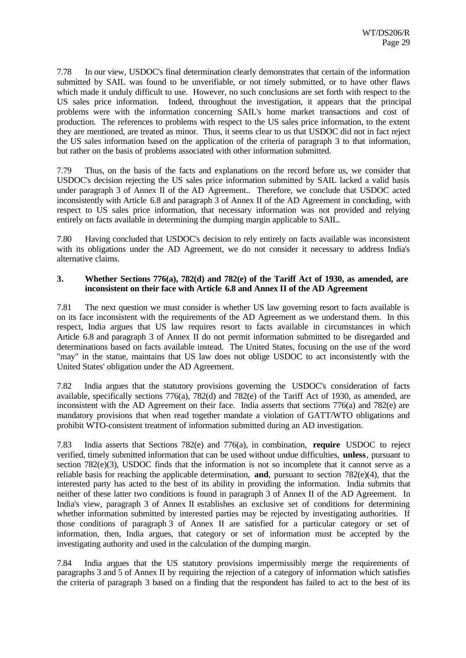7.78 In our view, USDOC's final determination clearly demonstrates that certain of the information submitted by SAIL was found to be unverifiable, or not timely submitted, or to have other flaws which made it unduly difficult to use. However, no such conclusions are set forth with respect to the US sales price information. Indeed, throughout the investigation, it appears that the principal problems were with the information concerning SAIL's home market transactions and cost of production. The references to problems with respect to the US sales price information, to the extent they are mentioned, are treated as minor. Thus, it seems clear to us that USDOC did not in fact reject the US sales information based on the application of the criteria of paragraph 3 to that information, but rather on the basis of problems associated with other information submitted.

7.79 Thus, on the basis of the facts and explanations on the record before us, we consider that USDOC's decision rejecting the US sales price information submitted by SAIL lacked a valid basis under paragraph 3 of Annex II of the AD Agreement.. Therefore, we conclude that USDOC acted inconsistently with Article 6.8 and paragraph 3 of Annex II of the AD Agreement in concluding, with respect to US sales price information, that necessary information was not provided and relying entirely on facts available in determining the dumping margin applicable to SAIL.

7.80 Having concluded that USDOC's decision to rely entirely on facts available was inconsistent with its obligations under the AD Agreement, we do not consider it necessary to address India's alternative claims.

#### **3. Whether Sections 776(a), 782(d) and 782(e) of the Tariff Act of 1930, as amended, are inconsistent on their face with Article 6.8 and Annex II of the AD Agreement**

7.81 The next question we must consider is whether US law governing resort to facts available is on its face inconsistent with the requirements of the AD Agreement as we understand them. In this respect, India argues that US law requires resort to facts available in circumstances in which Article 6.8 and paragraph 3 of Annex II do not permit information submitted to be disregarded and determinations based on facts available instead. The United States, focusing on the use of the word "may" in the statue, maintains that US law does not oblige USDOC to act inconsistently with the United States' obligation under the AD Agreement.

7.82 India argues that the statutory provisions governing the USDOC's consideration of facts available, specifically sections 776(a), 782(d) and 782(e) of the Tariff Act of 1930, as amended, are inconsistent with the AD Agreement on their face. India asserts that sections 776(a) and 782(e) are mandatory provisions that when read together mandate a violation of GATT/WTO obligations and prohibit WTO-consistent treatment of information submitted during an AD investigation.

7.83 India asserts that Sections 782(e) and 776(a), in combination, **require** USDOC to reject verified, timely submitted information that can be used without undue difficulties, **unless**, pursuant to section 782(e)(3), USDOC finds that the information is not so incomplete that it cannot serve as a reliable basis for reaching the applicable determination, **and**, pursuant to section 782(e)(4), that the interested party has acted to the best of its ability in providing the information. India submits that neither of these latter two conditions is found in paragraph 3 of Annex II of the AD Agreement. In India's view, paragraph 3 of Annex II establishes an exclusive set of conditions for determining whether information submitted by interested parties may be rejected by investigating authorities. If those conditions of paragraph 3 of Annex II are satisfied for a particular category or set of information, then, India argues, that category or set of information must be accepted by the investigating authority and used in the calculation of the dumping margin.

7.84 India argues that the US statutory provisions impermissibly merge the requirements of paragraphs 3 and 5 of Annex II by requiring the rejection of a category of information which satisfies the criteria of paragraph 3 based on a finding that the respondent has failed to act to the best of its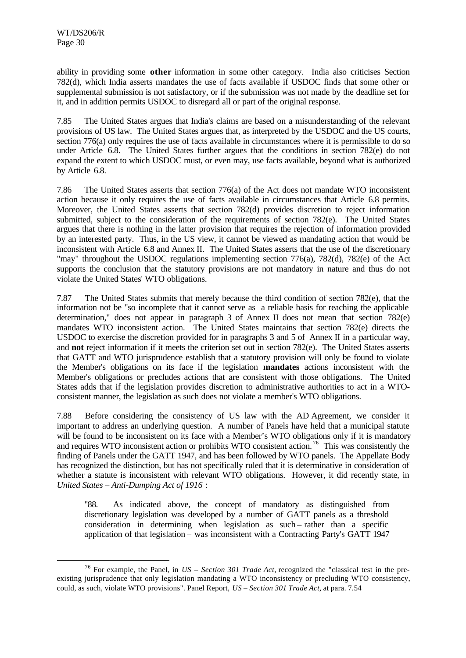l

ability in providing some **other** information in some other category. India also criticises Section 782(d), which India asserts mandates the use of facts available if USDOC finds that some other or supplemental submission is not satisfactory, or if the submission was not made by the deadline set for it, and in addition permits USDOC to disregard all or part of the original response.

7.85 The United States argues that India's claims are based on a misunderstanding of the relevant provisions of US law. The United States argues that, as interpreted by the USDOC and the US courts, section 776(a) only requires the use of facts available in circumstances where it is permissible to do so under Article 6.8. The United States further argues that the conditions in section 782(e) do not expand the extent to which USDOC must, or even may, use facts available, beyond what is authorized by Article 6.8.

7.86 The United States asserts that section 776(a) of the Act does not mandate WTO inconsistent action because it only requires the use of facts available in circumstances that Article 6.8 permits. Moreover, the United States asserts that section 782(d) provides discretion to reject information submitted, subject to the consideration of the requirements of section 782(e). The United States argues that there is nothing in the latter provision that requires the rejection of information provided by an interested party. Thus, in the US view, it cannot be viewed as mandating action that would be inconsistent with Article 6.8 and Annex II. The United States asserts that the use of the discretionary "may" throughout the USDOC regulations implementing section 776(a), 782(d), 782(e) of the Act supports the conclusion that the statutory provisions are not mandatory in nature and thus do not violate the United States' WTO obligations.

7.87 The United States submits that merely because the third condition of section 782(e), that the information not be "so incomplete that it cannot serve as a reliable basis for reaching the applicable determination," does not appear in paragraph 3 of Annex II does not mean that section 782(e) mandates WTO inconsistent action. The United States maintains that section 782(e) directs the USDOC to exercise the discretion provided for in paragraphs 3 and 5 of Annex II in a particular way, and **not** reject information if it meets the criterion set out in section 782(e). The United States asserts that GATT and WTO jurisprudence establish that a statutory provision will only be found to violate the Member's obligations on its face if the legislation **mandates** actions inconsistent with the Member's obligations or precludes actions that are consistent with those obligations. The United States adds that if the legislation provides discretion to administrative authorities to act in a WTOconsistent manner, the legislation as such does not violate a member's WTO obligations.

7.88 Before considering the consistency of US law with the AD Agreement, we consider it important to address an underlying question. A number of Panels have held that a municipal statute will be found to be inconsistent on its face with a Member's WTO obligations only if it is mandatory and requires WTO inconsistent action or prohibits WTO consistent action.<sup>76</sup> This was consistently the finding of Panels under the GATT 1947, and has been followed by WTO panels. The Appellate Body has recognized the distinction, but has not specifically ruled that it is determinative in consideration of whether a statute is inconsistent with relevant WTO obligations. However, it did recently state, in *United States – Anti-Dumping Act of 1916* :

"88. As indicated above, the concept of mandatory as distinguished from discretionary legislation was developed by a number of GATT panels as a threshold consideration in determining when legislation as such – rather than a specific application of that legislation – was inconsistent with a Contracting Party's GATT 1947

<sup>76</sup> For example, the Panel, in *US – Section 301 Trade Act*, recognized the "classical test in the preexisting jurisprudence that only legislation mandating a WTO inconsistency or precluding WTO consistency, could, as such, violate WTO provisions". Panel Report, *US – Section 301 Trade Act*, at para. 7.54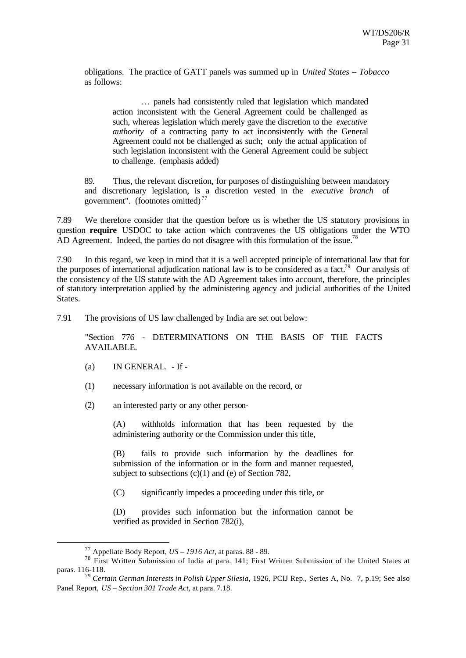obligations. The practice of GATT panels was summed up in *United States – Tobacco* as follows:

… panels had consistently ruled that legislation which mandated action inconsistent with the General Agreement could be challenged as such, whereas legislation which merely gave the discretion to the *executive authority* of a contracting party to act inconsistently with the General Agreement could not be challenged as such; only the actual application of such legislation inconsistent with the General Agreement could be subject to challenge. (emphasis added)

89. Thus, the relevant discretion, for purposes of distinguishing between mandatory and discretionary legislation, is a discretion vested in the *executive branch* of government". (footnotes omitted) <sup>77</sup>

7.89 We therefore consider that the question before us is whether the US statutory provisions in question **require** USDOC to take action which contravenes the US obligations under the WTO AD Agreement. Indeed, the parties do not disagree with this formulation of the issue.<sup>78</sup>

7.90 In this regard, we keep in mind that it is a well accepted principle of international law that for the purposes of international adjudication national law is to be considered as a fact.<sup>79</sup> Our analysis of the consistency of the US statute with the AD Agreement takes into account, therefore, the principles of statutory interpretation applied by the administering agency and judicial authorities of the United States.

7.91 The provisions of US law challenged by India are set out below:

"Section 776 - DETERMINATIONS ON THE BASIS OF THE FACTS AVAILABLE.

(a) IN GENERAL. - If -

l

- (1) necessary information is not available on the record, or
- (2) an interested party or any other person-

(A) withholds information that has been requested by the administering authority or the Commission under this title,

(B) fails to provide such information by the deadlines for submission of the information or in the form and manner requested, subject to subsections (c)(1) and (e) of Section 782,

(C) significantly impedes a proceeding under this title, or

(D) provides such information but the information cannot be verified as provided in Section 782(i),

<sup>77</sup> Appellate Body Report, *US – 1916 Act*, at paras. 88 - 89.

<sup>&</sup>lt;sup>78</sup> First Written Submission of India at para. 141; First Written Submission of the United States at paras. 116-118.

<sup>79</sup> *Certain German Interests in Polish Upper Silesia*, 1926, PCIJ Rep., Series A, No. 7, p.19; See also Panel Report, *US – Section 301 Trade Act*, at para. 7.18.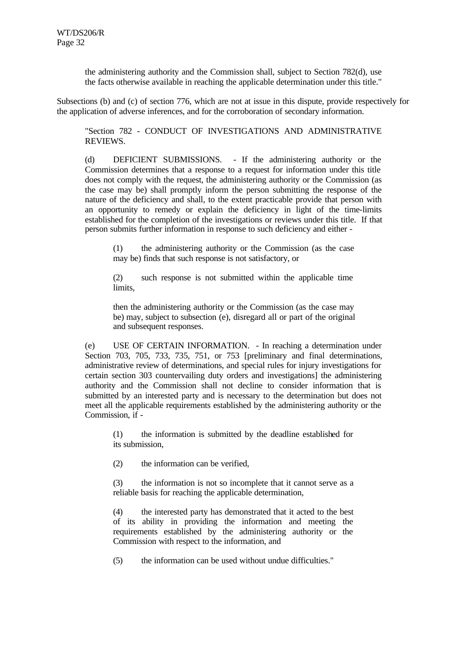the administering authority and the Commission shall, subject to Section 782(d), use the facts otherwise available in reaching the applicable determination under this title."

Subsections (b) and (c) of section 776, which are not at issue in this dispute, provide respectively for the application of adverse inferences, and for the corroboration of secondary information.

"Section 782 - CONDUCT OF INVESTIGATIONS AND ADMINISTRATIVE REVIEWS.

(d) DEFICIENT SUBMISSIONS. - If the administering authority or the Commission determines that a response to a request for information under this title does not comply with the request, the administering authority or the Commission (as the case may be) shall promptly inform the person submitting the response of the nature of the deficiency and shall, to the extent practicable provide that person with an opportunity to remedy or explain the deficiency in light of the time-limits established for the completion of the investigations or reviews under this title. If that person submits further information in response to such deficiency and either -

(1) the administering authority or the Commission (as the case may be) finds that such response is not satisfactory, or

(2) such response is not submitted within the applicable time limits,

then the administering authority or the Commission (as the case may be) may, subject to subsection (e), disregard all or part of the original and subsequent responses.

(e) USE OF CERTAIN INFORMATION. - In reaching a determination under Section 703, 705, 733, 735, 751, or 753 [preliminary and final determinations, administrative review of determinations, and special rules for injury investigations for certain section 303 countervailing duty orders and investigations] the administering authority and the Commission shall not decline to consider information that is submitted by an interested party and is necessary to the determination but does not meet all the applicable requirements established by the administering authority or the Commission, if -

(1) the information is submitted by the deadline established for its submission,

(2) the information can be verified,

(3) the information is not so incomplete that it cannot serve as a reliable basis for reaching the applicable determination,

(4) the interested party has demonstrated that it acted to the best of its ability in providing the information and meeting the requirements established by the administering authority or the Commission with respect to the information, and

(5) the information can be used without undue difficulties."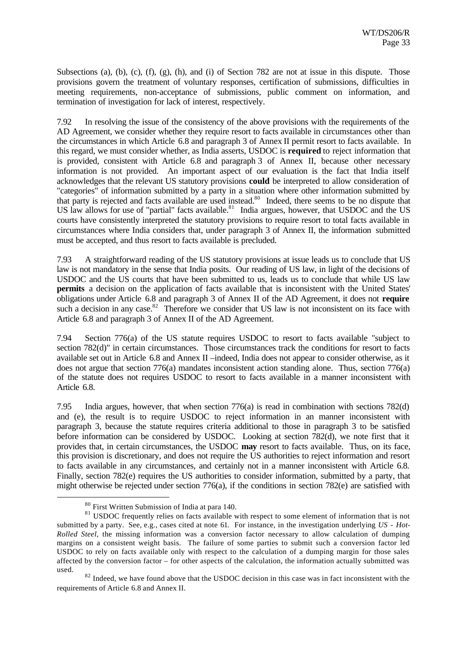Subsections (a), (b), (c), (f), (g), (h), and (i) of Section 782 are not at issue in this dispute. Those provisions govern the treatment of voluntary responses, certification of submissions, difficulties in meeting requirements, non-acceptance of submissions, public comment on information, and termination of investigation for lack of interest, respectively.

7.92 In resolving the issue of the consistency of the above provisions with the requirements of the AD Agreement, we consider whether they require resort to facts available in circumstances other than the circumstances in which Article 6.8 and paragraph 3 of Annex II permit resort to facts available. In this regard, we must consider whether, as India asserts, USDOC is **required** to reject information that is provided, consistent with Article 6.8 and paragraph 3 of Annex II, because other necessary information is not provided. An important aspect of our evaluation is the fact that India itself acknowledges that the relevant US statutory provisions **could** be interpreted to allow consideration of "categories" of information submitted by a party in a situation where other information submitted by that party is rejected and facts available are used instead.<sup>80</sup> Indeed, there seems to be no dispute that US law allows for use of "partial" facts available.<sup>81</sup> India argues, however, that USDOC and the US courts have consistently interpreted the statutory provisions to require resort to total facts available in circumstances where India considers that, under paragraph 3 of Annex II, the information submitted must be accepted, and thus resort to facts available is precluded.

7.93 A straightforward reading of the US statutory provisions at issue leads us to conclude that US law is not mandatory in the sense that India posits. Our reading of US law, in light of the decisions of USDOC and the US courts that have been submitted to us, leads us to conclude that while US law **permits** a decision on the application of facts available that is inconsistent with the United States' obligations under Article 6.8 and paragraph 3 of Annex II of the AD Agreement, it does not **require** such a decision in any case.<sup>82</sup> Therefore we consider that US law is not inconsistent on its face with Article 6.8 and paragraph 3 of Annex II of the AD Agreement.

7.94 Section 776(a) of the US statute requires USDOC to resort to facts available "subject to section 782(d)" in certain circumstances. Those circumstances track the conditions for resort to facts available set out in Article 6.8 and Annex II –indeed, India does not appear to consider otherwise, as it does not argue that section 776(a) mandates inconsistent action standing alone. Thus, section 776(a) of the statute does not requires USDOC to resort to facts available in a manner inconsistent with Article 6.8.

7.95 India argues, however, that when section 776(a) is read in combination with sections 782(d) and (e), the result is to require USDOC to reject information in an manner inconsistent with paragraph 3, because the statute requires criteria additional to those in paragraph 3 to be satisfied before information can be considered by USDOC. Looking at section 782(d), we note first that it provides that, in certain circumstances, the USDOC **may** resort to facts available. Thus, on its face, this provision is discretionary, and does not require the US authorities to reject information and resort to facts available in any circumstances, and certainly not in a manner inconsistent with Article 6.8. Finally, section 782(e) requires the US authorities to consider information, submitted by a party, that might otherwise be rejected under section 776(a), if the conditions in section 782(e) are satisfied with

<sup>80</sup> First Written Submission of India at para 140.

 $81$  USDOC frequently relies on facts available with respect to some element of information that is not submitted by a party. See, e.g., cases cited at note 61. For instance, in the investigation underlying *US - Hot-Rolled Steel*, the missing information was a conversion factor necessary to allow calculation of dumping margins on a consistent weight basis. The failure of some parties to submit such a conversion factor led USDOC to rely on facts available only with respect to the calculation of a dumping margin for those sales affected by the conversion factor – for other aspects of the calculation, the information actually submitted was used.

 $82$  Indeed, we have found above that the USDOC decision in this case was in fact inconsistent with the requirements of Article 6.8 and Annex II.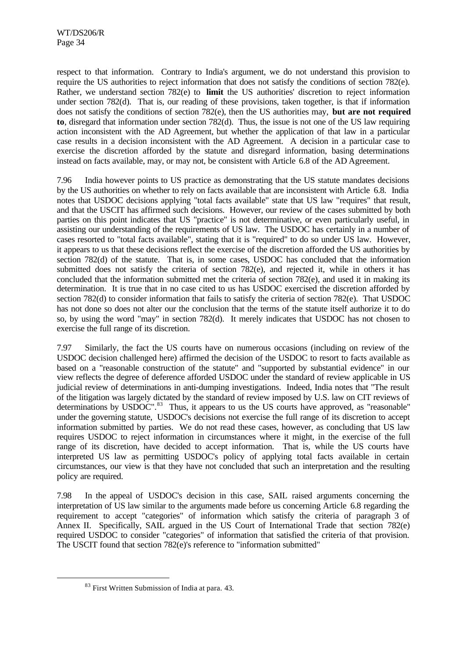respect to that information. Contrary to India's argument, we do not understand this provision to require the US authorities to reject information that does not satisfy the conditions of section 782(e). Rather, we understand section 782(e) to **limit** the US authorities' discretion to reject information under section 782(d). That is, our reading of these provisions, taken together, is that if information does not satisfy the conditions of section 782(e), then the US authorities may, **but are not required to**, disregard that information under section 782(d). Thus, the issue is not one of the US law requiring action inconsistent with the AD Agreement, but whether the application of that law in a particular case results in a decision inconsistent with the AD Agreement. A decision in a particular case to exercise the discretion afforded by the statute and disregard information, basing determinations instead on facts available, may, or may not, be consistent with Article 6.8 of the AD Agreement.

7.96 India however points to US practice as demonstrating that the US statute mandates decisions by the US authorities on whether to rely on facts available that are inconsistent with Article 6.8. India notes that USDOC decisions applying "total facts available" state that US law "requires" that result, and that the USCIT has affirmed such decisions. However, our review of the cases submitted by both parties on this point indicates that US "practice" is not determinative, or even particularly useful, in assisting our understanding of the requirements of US law. The USDOC has certainly in a number of cases resorted to "total facts available", stating that it is "required" to do so under US law. However, it appears to us that these decisions reflect the exercise of the discretion afforded the US authorities by section 782(d) of the statute. That is, in some cases, USDOC has concluded that the information submitted does not satisfy the criteria of section 782(e), and rejected it, while in others it has concluded that the information submitted met the criteria of section 782(e), and used it in making its determination. It is true that in no case cited to us has USDOC exercised the discretion afforded by section 782(d) to consider information that fails to satisfy the criteria of section 782(e). That USDOC has not done so does not alter our the conclusion that the terms of the statute itself authorize it to do so, by using the word "may" in section 782(d). It merely indicates that USDOC has not chosen to exercise the full range of its discretion.

7.97 Similarly, the fact the US courts have on numerous occasions (including on review of the USDOC decision challenged here) affirmed the decision of the USDOC to resort to facts available as based on a "reasonable construction of the statute" and "supported by substantial evidence" in our view reflects the degree of deference afforded USDOC under the standard of review applicable in US judicial review of determinations in anti-dumping investigations. Indeed, India notes that "The result of the litigation was largely dictated by the standard of review imposed by U.S. law on CIT reviews of determinations by USDOC".<sup>83</sup> Thus, it appears to us the US courts have approved, as "reasonable" under the governing statute, USDOC's decisions not exercise the full range of its discretion to accept information submitted by parties. We do not read these cases, however, as concluding that US law requires USDOC to reject information in circumstances where it might, in the exercise of the full range of its discretion, have decided to accept information. That is, while the US courts have interpreted US law as permitting USDOC's policy of applying total facts available in certain circumstances, our view is that they have not concluded that such an interpretation and the resulting policy are required.

7.98 In the appeal of USDOC's decision in this case, SAIL raised arguments concerning the interpretation of US law similar to the arguments made before us concerning Article 6.8 regarding the requirement to accept "categories" of information which satisfy the criteria of paragraph 3 of Annex II. Specifically, SAIL argued in the US Court of International Trade that section 782(e) required USDOC to consider "categories" of information that satisfied the criteria of that provision. The USCIT found that section 782(e)'s reference to "information submitted"

<sup>83</sup> First Written Submission of India at para. 43.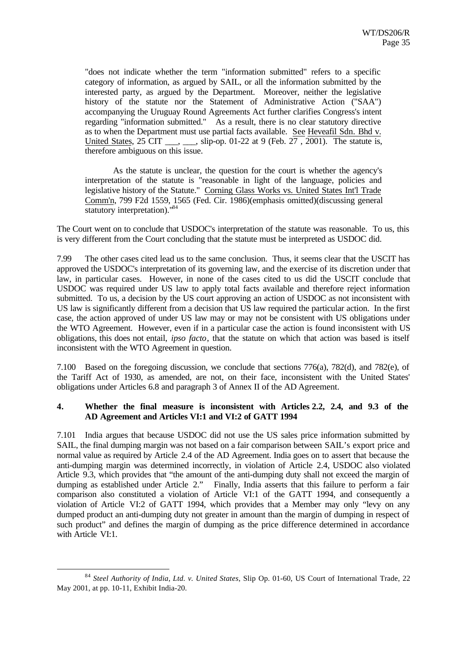"does not indicate whether the term "information submitted" refers to a specific category of information, as argued by SAIL, or all the information submitted by the interested party, as argued by the Department. Moreover, neither the legislative history of the statute nor the Statement of Administrative Action ("SAA") accompanying the Uruguay Round Agreements Act further clarifies Congress's intent regarding "information submitted." As a result, there is no clear statutory directive as to when the Department must use partial facts available. See Heveafil Sdn. Bhd v. United States,  $25$  CIT  $\_\_\_\_\_\_\$ , slip-op. 01-22 at 9 (Feb.  $27, 2001$ ). The statute is, therefore ambiguous on this issue.

As the statute is unclear, the question for the court is whether the agency's interpretation of the statute is "reasonable in light of the language, policies and legislative history of the Statute." Corning Glass Works vs. United States Int'l Trade Comm'n, 799 F2d 1559, 1565 (Fed. Cir. 1986)(emphasis omitted)(discussing general statutory interpretation).<sup>"84</sup>

The Court went on to conclude that USDOC's interpretation of the statute was reasonable. To us, this is very different from the Court concluding that the statute must be interpreted as USDOC did.

7.99 The other cases cited lead us to the same conclusion. Thus, it seems clear that the USCIT has approved the USDOC's interpretation of its governing law, and the exercise of its discretion under that law, in particular cases. However, in none of the cases cited to us did the USCIT conclude that USDOC was required under US law to apply total facts available and therefore reject information submitted. To us, a decision by the US court approving an action of USDOC as not inconsistent with US law is significantly different from a decision that US law required the particular action. In the first case, the action approved of under US law may or may not be consistent with US obligations under the WTO Agreement. However, even if in a particular case the action is found inconsistent with US obligations, this does not entail, *ipso facto*, that the statute on which that action was based is itself inconsistent with the WTO Agreement in question.

7.100 Based on the foregoing discussion, we conclude that sections 776(a), 782(d), and 782(e), of the Tariff Act of 1930, as amended, are not, on their face, inconsistent with the United States' obligations under Articles 6.8 and paragraph 3 of Annex II of the AD Agreement.

#### **4. Whether the final measure is inconsistent with Articles 2.2, 2.4, and 9.3 of the AD Agreement and Articles VI:1 and VI:2 of GATT 1994**

7.101 India argues that because USDOC did not use the US sales price information submitted by SAIL, the final dumping margin was not based on a fair comparison between SAIL's export price and normal value as required by Article 2.4 of the AD Agreement. India goes on to assert that because the anti-dumping margin was determined incorrectly, in violation of Article 2.4, USDOC also violated Article 9.3, which provides that "the amount of the anti-dumping duty shall not exceed the margin of dumping as established under Article 2." Finally, India asserts that this failure to perform a fair comparison also constituted a violation of Article VI:1 of the GATT 1994, and consequently a violation of Article VI:2 of GATT 1994, which provides that a Member may only "levy on any dumped product an anti-dumping duty not greater in amount than the margin of dumping in respect of such product" and defines the margin of dumping as the price difference determined in accordance with Article VI:1.

<sup>84</sup> *Steel Authority of India, Ltd. v. United States*, Slip Op. 01-60, US Court of International Trade, 22 May 2001, at pp. 10-11, Exhibit India-20.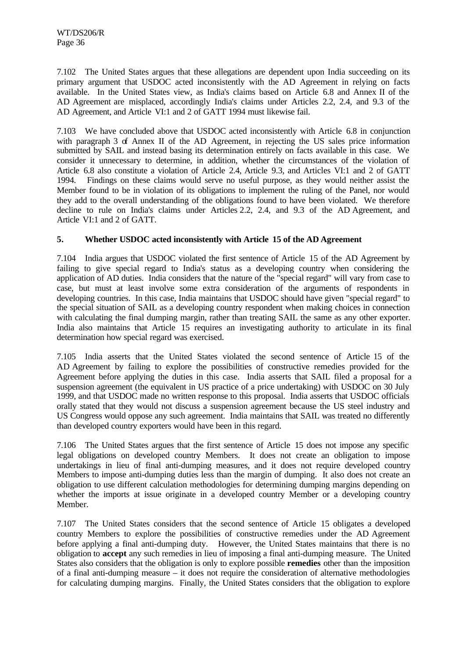7.102 The United States argues that these allegations are dependent upon India succeeding on its primary argument that USDOC acted inconsistently with the AD Agreement in relying on facts available. In the United States view, as India's claims based on Article 6.8 and Annex II of the AD Agreement are misplaced, accordingly India's claims under Articles 2.2, 2.4, and 9.3 of the AD Agreement, and Article VI:1 and 2 of GATT 1994 must likewise fail.

7.103 We have concluded above that USDOC acted inconsistently with Article 6.8 in conjunction with paragraph 3 of Annex II of the AD Agreement, in rejecting the US sales price information submitted by SAIL and instead basing its determination entirely on facts available in this case. We consider it unnecessary to determine, in addition, whether the circumstances of the violation of Article 6.8 also constitute a violation of Article 2.4, Article 9.3, and Articles VI:1 and 2 of GATT 1994. Findings on these claims would serve no useful purpose, as they would neither assist the Member found to be in violation of its obligations to implement the ruling of the Panel, nor would they add to the overall understanding of the obligations found to have been violated. We therefore decline to rule on India's claims under Articles 2.2, 2.4, and 9.3 of the AD Agreement, and Article VI:1 and 2 of GATT.

#### **5. Whether USDOC acted inconsistently with Article 15 of the AD Agreement**

7.104 India argues that USDOC violated the first sentence of Article 15 of the AD Agreement by failing to give special regard to India's status as a developing country when considering the application of AD duties. India considers that the nature of the "special regard" will vary from case to case, but must at least involve some extra consideration of the arguments of respondents in developing countries. In this case, India maintains that USDOC should have given "special regard" to the special situation of SAIL as a developing country respondent when making choices in connection with calculating the final dumping margin, rather than treating SAIL the same as any other exporter. India also maintains that Article 15 requires an investigating authority to articulate in its final determination how special regard was exercised.

7.105 India asserts that the United States violated the second sentence of Article 15 of the AD Agreement by failing to explore the possibilities of constructive remedies provided for the Agreement before applying the duties in this case. India asserts that SAIL filed a proposal for a suspension agreement (the equivalent in US practice of a price undertaking) with USDOC on 30 July 1999, and that USDOC made no written response to this proposal. India asserts that USDOC officials orally stated that they would not discuss a suspension agreement because the US steel industry and US Congress would oppose any such agreement. India maintains that SAIL was treated no differently than developed country exporters would have been in this regard.

7.106 The United States argues that the first sentence of Article 15 does not impose any specific legal obligations on developed country Members. It does not create an obligation to impose undertakings in lieu of final anti-dumping measures, and it does not require developed country Members to impose anti-dumping duties less than the margin of dumping. It also does not create an obligation to use different calculation methodologies for determining dumping margins depending on whether the imports at issue originate in a developed country Member or a developing country Member.

7.107 The United States considers that the second sentence of Article 15 obligates a developed country Members to explore the possibilities of constructive remedies under the AD Agreement before applying a final anti-dumping duty. However, the United States maintains that there is no obligation to **accept** any such remedies in lieu of imposing a final anti-dumping measure. The United States also considers that the obligation is only to explore possible **remedies** other than the imposition of a final anti-dumping measure – it does not require the consideration of alternative methodologies for calculating dumping margins. Finally, the United States considers that the obligation to explore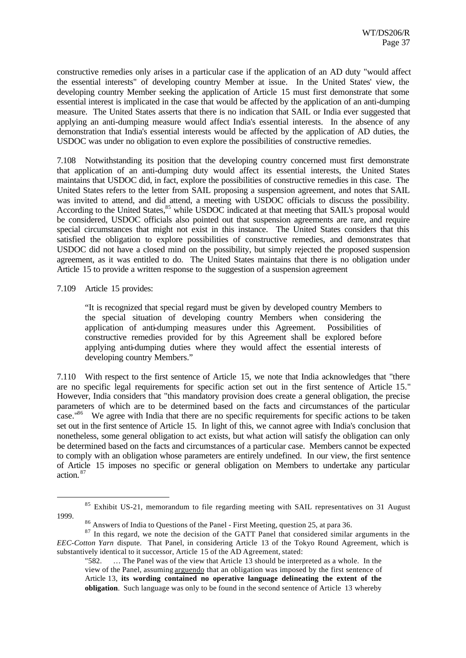constructive remedies only arises in a particular case if the application of an AD duty "would affect the essential interests" of developing country Member at issue. In the United States' view, the developing country Member seeking the application of Article 15 must first demonstrate that some essential interest is implicated in the case that would be affected by the application of an anti-dumping measure. The United States asserts that there is no indication that SAIL or India ever suggested that applying an anti-dumping measure would affect India's essential interests. In the absence of any demonstration that India's essential interests would be affected by the application of AD duties, the USDOC was under no obligation to even explore the possibilities of constructive remedies.

7.108 Notwithstanding its position that the developing country concerned must first demonstrate that application of an anti-dumping duty would affect its essential interests, the United States maintains that USDOC did, in fact, explore the possibilities of constructive remedies in this case. The United States refers to the letter from SAIL proposing a suspension agreement, and notes that SAIL was invited to attend, and did attend, a meeting with USDOC officials to discuss the possibility. According to the United States,<sup>85</sup> while USDOC indicated at that meeting that SAIL's proposal would be considered, USDOC officials also pointed out that suspension agreements are rare, and require special circumstances that might not exist in this instance. The United States considers that this satisfied the obligation to explore possibilities of constructive remedies, and demonstrates that USDOC did not have a closed mind on the possibility, but simply rejected the proposed suspension agreement, as it was entitled to do. The United States maintains that there is no obligation under Article 15 to provide a written response to the suggestion of a suspension agreement

7.109 Article 15 provides:

l

"It is recognized that special regard must be given by developed country Members to the special situation of developing country Members when considering the application of anti-dumping measures under this Agreement. Possibilities of constructive remedies provided for by this Agreement shall be explored before applying anti-dumping duties where they would affect the essential interests of developing country Members."

7.110 With respect to the first sentence of Article 15, we note that India acknowledges that "there are no specific legal requirements for specific action set out in the first sentence of Article 15." However, India considers that "this mandatory provision does create a general obligation, the precise parameters of which are to be determined based on the facts and circumstances of the particular case."<sup>86</sup> We agree with India that there are no specific requirements for specific actions to be taken set out in the first sentence of Article 15. In light of this, we cannot agree with India's conclusion that nonetheless, some general obligation to act exists, but what action will satisfy the obligation can only be determined based on the facts and circumstances of a particular case. Members cannot be expected to comply with an obligation whose parameters are entirely undefined. In our view, the first sentence of Article 15 imposes no specific or general obligation on Members to undertake any particular action. <sup>87</sup>

<sup>&</sup>lt;sup>85</sup> Exhibit US-21, memorandum to file regarding meeting with SAIL representatives on 31 August 1999.

<sup>86</sup> Answers of India to Questions of the Panel - First Meeting, question 25, at para 36.

<sup>&</sup>lt;sup>87</sup> In this regard, we note the decision of the GATT Panel that considered similar arguments in the *EEC-Cotton Yarn* dispute. That Panel, in considering Article 13 of the Tokyo Round Agreement, which is substantively identical to it successor, Article 15 of the AD Agreement, stated:

<sup>&</sup>quot;582. … The Panel was of the view that Article 13 should be interpreted as a whole. In the view of the Panel, assuming arguendo that an obligation was imposed by the first sentence of Article 13, **its wording contained no operative language delineating the extent of the obligation**. Such language was only to be found in the second sentence of Article 13 whereby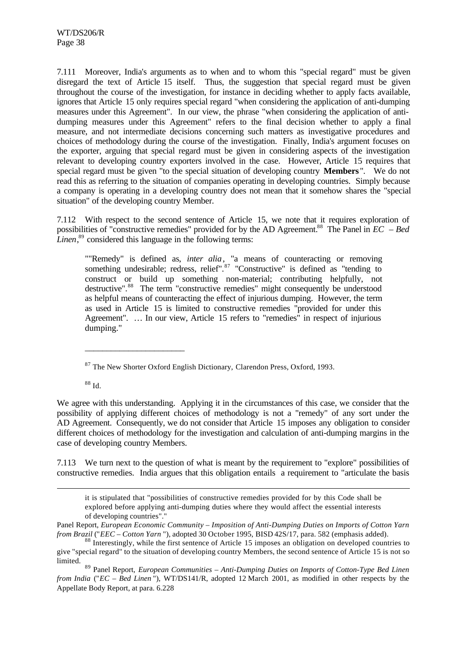7.111 Moreover, India's arguments as to when and to whom this "special regard" must be given disregard the text of Article 15 itself. Thus, the suggestion that special regard must be given throughout the course of the investigation, for instance in deciding whether to apply facts available, ignores that Article 15 only requires special regard "when considering the application of anti-dumping measures under this Agreement". In our view, the phrase "when considering the application of antidumping measures under this Agreement" refers to the final decision whether to apply a final measure, and not intermediate decisions concerning such matters as investigative procedures and choices of methodology during the course of the investigation. Finally, India's argument focuses on the exporter, arguing that special regard must be given in considering aspects of the investigation relevant to developing country exporters involved in the case. However, Article 15 requires that special regard must be given "to the special situation of developing country **Members** ". We do not read this as referring to the situation of companies operating in developing countries. Simply because a company is operating in a developing country does not mean that it somehow shares the "special situation" of the developing country Member.

7.112 With respect to the second sentence of Article 15, we note that it requires exploration of possibilities of "constructive remedies" provided for by the AD Agreement.<sup>88</sup> The Panel in *EC – Bed Linen*, <sup>89</sup> considered this language in the following terms:

""Remedy" is defined as, *inter alia*, "a means of counteracting or removing something undesirable; redress, relief".<sup>87</sup> "Constructive" is defined as "tending to construct or build up something non-material; contributing helpfully, not destructive".<sup>88</sup> The term "constructive remedies" might consequently be understood as helpful means of counteracting the effect of injurious dumping. However, the term as used in Article 15 is limited to constructive remedies "provided for under this Agreement". … In our view, Article 15 refers to "remedies" in respect of injurious dumping."

<sup>88</sup> Id.

l

 $\frac{1}{2}$  , and the set of the set of the set of the set of the set of the set of the set of the set of the set of the set of the set of the set of the set of the set of the set of the set of the set of the set of the set

We agree with this understanding. Applying it in the circumstances of this case, we consider that the possibility of applying different choices of methodology is not a "remedy" of any sort under the AD Agreement. Consequently, we do not consider that Article 15 imposes any obligation to consider different choices of methodology for the investigation and calculation of anti-dumping margins in the case of developing country Members.

7.113 We turn next to the question of what is meant by the requirement to "explore" possibilities of constructive remedies. India argues that this obligation entails a requirement to "articulate the basis

it is stipulated that "possibilities of constructive remedies provided for by this Code shall be explored before applying anti-dumping duties where they would affect the essential interests of developing countries"."

<sup>87</sup> The New Shorter Oxford English Dictionary, Clarendon Press, Oxford, 1993.

Panel Report, *European Economic Community – Imposition of Anti-Dumping Duties on Imports of Cotton Yarn from Brazil* ("*EEC – Cotton Yarn* "), adopted 30 October 1995, BISD 42S/17, para. 582 (emphasis added).

<sup>88</sup> Interestingly, while the first sentence of Article 15 imposes an obligation on developed countries to give "special regard" to the situation of developing country Members, the second sentence of Article 15 is not so limited.

<sup>89</sup> Panel Report, *European Communities – Anti-Dumping Duties on Imports of Cotton-Type Bed Linen from India* ("*EC – Bed Linen* "), WT/DS141/R, adopted 12 March 2001, as modified in other respects by the Appellate Body Report, at para. 6.228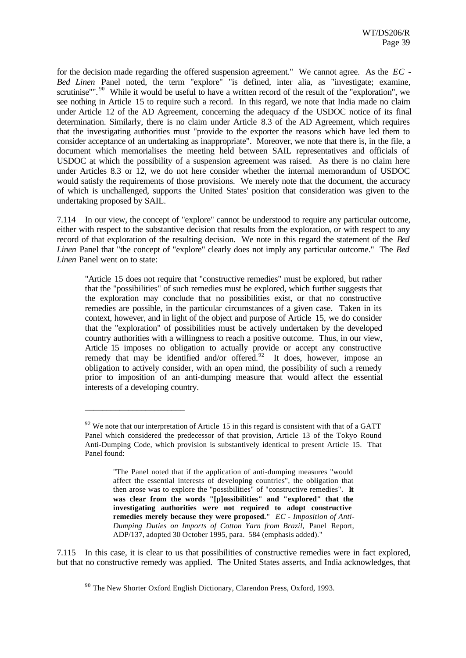for the decision made regarding the offered suspension agreement." We cannot agree. As the *EC - Bed Linen* Panel noted, the term "explore" "is defined, inter alia, as "investigate; examine, scrutinise"".<sup>90</sup> While it would be useful to have a written record of the result of the "exploration", we see nothing in Article 15 to require such a record. In this regard, we note that India made no claim under Article 12 of the AD Agreement, concerning the adequacy of the USDOC notice of its final determination. Similarly, there is no claim under Article 8.3 of the AD Agreement, which requires that the investigating authorities must "provide to the exporter the reasons which have led them to consider acceptance of an undertaking as inappropriate". Moreover, we note that there is, in the file, a document which memorialises the meeting held between SAIL representatives and officials of USDOC at which the possibility of a suspension agreement was raised. As there is no claim here under Articles 8.3 or 12, we do not here consider whether the internal memorandum of USDOC would satisfy the requirements of those provisions. We merely note that the document, the accuracy of which is unchallenged, supports the United States' position that consideration was given to the undertaking proposed by SAIL.

7.114 In our view, the concept of "explore" cannot be understood to require any particular outcome, either with respect to the substantive decision that results from the exploration, or with respect to any record of that exploration of the resulting decision. We note in this regard the statement of the *Bed Linen* Panel that "the concept of "explore" clearly does not imply any particular outcome." The *Bed Linen* Panel went on to state:

"Article 15 does not require that "constructive remedies" must be explored, but rather that the "possibilities" of such remedies must be explored, which further suggests that the exploration may conclude that no possibilities exist, or that no constructive remedies are possible, in the particular circumstances of a given case. Taken in its context, however, and in light of the object and purpose of Article 15, we do consider that the "exploration" of possibilities must be actively undertaken by the developed country authorities with a willingness to reach a positive outcome. Thus, in our view, Article 15 imposes no obligation to actually provide or accept any constructive remedy that may be identified and/or offered.<sup>92</sup> It does, however, impose an obligation to actively consider, with an open mind, the possibility of such a remedy prior to imposition of an anti-dumping measure that would affect the essential interests of a developing country.

 $\frac{1}{2}$  , and the set of the set of the set of the set of the set of the set of the set of the set of the set of the set of the set of the set of the set of the set of the set of the set of the set of the set of the set

l

7.115 In this case, it is clear to us that possibilities of constructive remedies were in fact explored, but that no constructive remedy was applied. The United States asserts, and India acknowledges, that

 $92$  We note that our interpretation of Article 15 in this regard is consistent with that of a GATT Panel which considered the predecessor of that provision, Article 13 of the Tokyo Round Anti-Dumping Code, which provision is substantively identical to present Article 15. That Panel found:

<sup>&</sup>quot;The Panel noted that if the application of anti-dumping measures "would affect the essential interests of developing countries", the obligation that then arose was to explore the "possibilities" of "constructive remedies". **It was clear from the words "[p]ossibilities" and "explored" that the investigating authorities were not required to adopt constructive remedies merely because they were proposed.**" *EC - Imposition of Anti-Dumping Duties on Imports of Cotton Yarn from Brazil*, Panel Report, ADP/137, adopted 30 October 1995, para. 584 (emphasis added)."

<sup>&</sup>lt;sup>90</sup> The New Shorter Oxford English Dictionary, Clarendon Press, Oxford, 1993.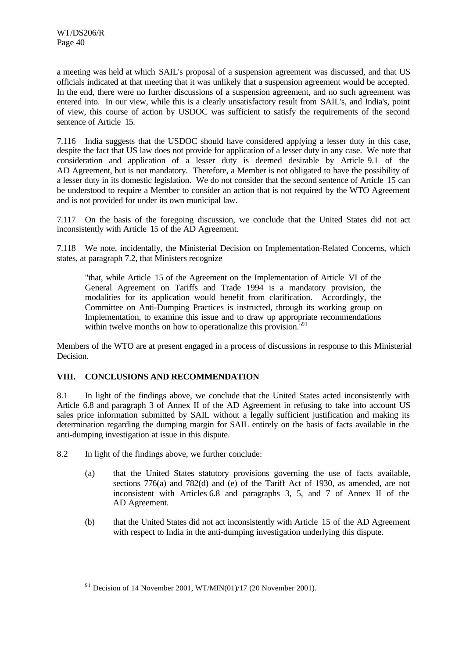a meeting was held at which SAIL's proposal of a suspension agreement was discussed, and that US officials indicated at that meeting that it was unlikely that a suspension agreement would be accepted. In the end, there were no further discussions of a suspension agreement, and no such agreement was entered into. In our view, while this is a clearly unsatisfactory result from SAIL's, and India's, point of view, this course of action by USDOC was sufficient to satisfy the requirements of the second sentence of Article 15.

7.116 India suggests that the USDOC should have considered applying a lesser duty in this case, despite the fact that US law does not provide for application of a lesser duty in any case. We note that consideration and application of a lesser duty is deemed desirable by Article 9.1 of the AD Agreement, but is not mandatory. Therefore, a Member is not obligated to have the possibility of a lesser duty in its domestic legislation. We do not consider that the second sentence of Article 15 can be understood to require a Member to consider an action that is not required by the WTO Agreement and is not provided for under its own municipal law.

7.117 On the basis of the foregoing discussion, we conclude that the United States did not act inconsistently with Article 15 of the AD Agreement.

7.118 We note, incidentally, the Ministerial Decision on Implementation-Related Concerns, which states, at paragraph 7.2, that Ministers recognize

"that, while Article 15 of the Agreement on the Implementation of Article VI of the General Agreement on Tariffs and Trade 1994 is a mandatory provision, the modalities for its application would benefit from clarification. Accordingly, the Committee on Anti-Dumping Practices is instructed, through its working group on Implementation, to examine this issue and to draw up appropriate recommendations within twelve months on how to operationalize this provision. $1^{91}$ 

Members of the WTO are at present engaged in a process of discussions in response to this Ministerial **Decision** 

### **VIII. CONCLUSIONS AND RECOMMENDATION**

8.1 In light of the findings above, we conclude that the United States acted inconsistently with Article 6.8 and paragraph 3 of Annex II of the AD Agreement in refusing to take into account US sales price information submitted by SAIL without a legally sufficient justification and making its determination regarding the dumping margin for SAIL entirely on the basis of facts available in the anti-dumping investigation at issue in this dispute.

8.2 In light of the findings above, we further conclude:

- (a) that the United States statutory provisions governing the use of facts available, sections 776(a) and 782(d) and (e) of the Tariff Act of 1930, as amended, are not inconsistent with Articles 6.8 and paragraphs 3, 5, and 7 of Annex II of the AD Agreement.
- (b) that the United States did not act inconsistently with Article 15 of the AD Agreement with respect to India in the anti-dumping investigation underlying this dispute.

<sup>&</sup>lt;sup>91</sup> Decision of 14 November 2001, WT/MIN(01)/17 (20 November 2001).